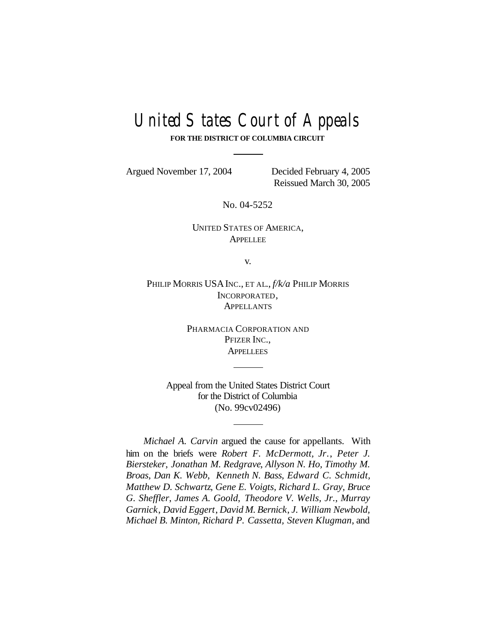# United States Court of Appeals

**FOR THE DISTRICT OF COLUMBIA CIRCUIT**

Argued November 17, 2004 Decided February 4, 2005

Reissued March 30, 2005

No. 04-5252

UNITED STATES OF AMERICA, **APPELLEE** 

v.

PHILIP MORRIS USAINC., ET AL., *f/k/a* PHILIP MORRIS INCORPORATED, **APPELLANTS** 

> PHARMACIA CORPORATION AND PFIZER INC., **APPELLEES**

Appeal from the United States District Court for the District of Columbia (No. 99cv02496)

*Michael A. Carvin* argued the cause for appellants. With him on the briefs were *Robert F. McDermott, Jr.*, *Peter J. Biersteker*, *Jonathan M. Redgrave*, *Allyson N. Ho, Timothy M. Broas*, *Dan K. Webb*, *Kenneth N. Bass*, *Edward C. Schmidt, Matthew D. Schwartz*, *Gene E. Voigts, Richard L. Gray*, *Bruce G. Sheffler*, *James A. Goold*, *Theodore V. Wells, Jr.*, *Murray Garnick*, *David Eggert*, *David M. Bernick*, *J. William Newbold, Michael B. Minton, Richard P. Cassetta, Steven Klugman*, and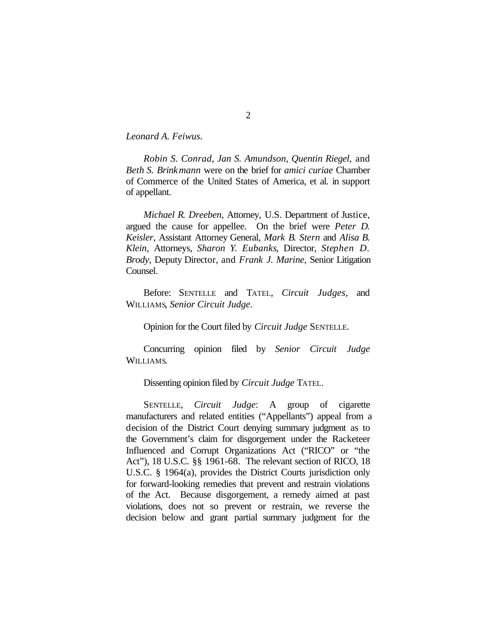*Leonard A. Feiwus.*

*Robin S. Conrad*, *Jan S. Amundson*, *Quentin Riegel*, and *Beth S. Brinkmann* were on the brief for *amici curiae* Chamber of Commerce of the United States of America, et al. in support of appellant.

*Michael R. Dreeben*, Attorney, U.S. Department of Justice, argued the cause for appellee. On the brief were *Peter D. Keisler*, Assistant Attorney General, *Mark B. Stern* and *Alisa B. Klein*, Attorneys, *Sharon Y. Eubanks*, Director, *Stephen D. Brody*, Deputy Director, and *Frank J. Marine*, Senior Litigation Counsel.

Before: SENTELLE and TATEL, *Circuit Judges,* and WILLIAMS, *Senior Circuit Judge*.

Opinion for the Court filed by *Circuit Judge* SENTELLE.

Concurring opinion filed by *Senior Circuit Judge* WILLIAMS.

Dissenting opinion filed by *Circuit Judge* TATEL.

SENTELLE, *Circuit Judge*: A group of cigarette manufacturers and related entities ("Appellants") appeal from a decision of the District Court denying summary judgment as to the Government's claim for disgorgement under the Racketeer Influenced and Corrupt Organizations Act ("RICO" or "the Act"), 18 U.S.C. §§ 1961-68. The relevant section of RICO, 18 U.S.C. § 1964(a), provides the District Courts jurisdiction only for forward-looking remedies that prevent and restrain violations of the Act. Because disgorgement, a remedy aimed at past violations, does not so prevent or restrain, we reverse the decision below and grant partial summary judgment for the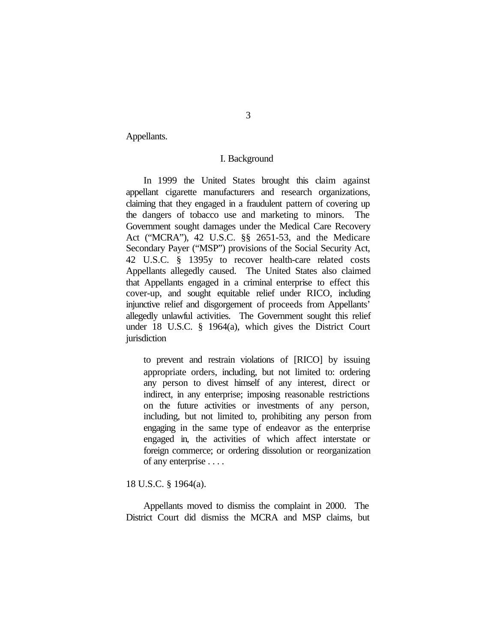Appellants.

## I. Background

In 1999 the United States brought this claim against appellant cigarette manufacturers and research organizations, claiming that they engaged in a fraudulent pattern of covering up the dangers of tobacco use and marketing to minors. The Government sought damages under the Medical Care Recovery Act ("MCRA"), 42 U.S.C. §§ 2651-53, and the Medicare Secondary Payer ("MSP") provisions of the Social Security Act, 42 U.S.C. § 1395y to recover health-care related costs Appellants allegedly caused. The United States also claimed that Appellants engaged in a criminal enterprise to effect this cover-up, and sought equitable relief under RICO, including injunctive relief and disgorgement of proceeds from Appellants' allegedly unlawful activities. The Government sought this relief under 18 U.S.C. § 1964(a), which gives the District Court jurisdiction

to prevent and restrain violations of [RICO] by issuing appropriate orders, including, but not limited to: ordering any person to divest himself of any interest, direct or indirect, in any enterprise; imposing reasonable restrictions on the future activities or investments of any person, including, but not limited to, prohibiting any person from engaging in the same type of endeavor as the enterprise engaged in, the activities of which affect interstate or foreign commerce; or ordering dissolution or reorganization of any enterprise . . . .

# 18 U.S.C. § 1964(a).

Appellants moved to dismiss the complaint in 2000. The District Court did dismiss the MCRA and MSP claims, but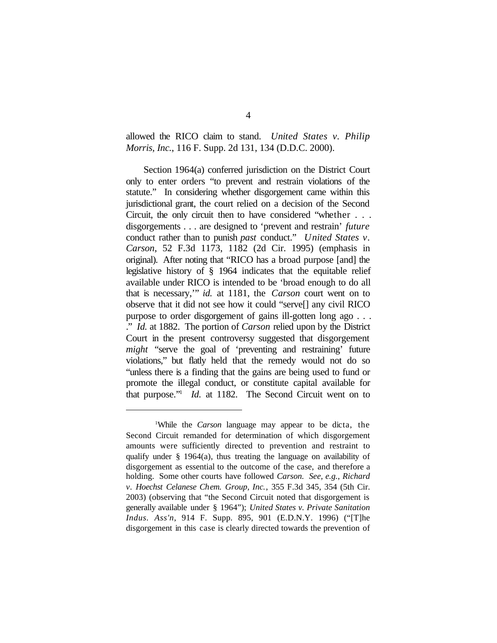allowed the RICO claim to stand. *United States v. Philip Morris, Inc.*, 116 F. Supp. 2d 131, 134 (D.D.C. 2000).

Section 1964(a) conferred jurisdiction on the District Court only to enter orders "to prevent and restrain violations of the statute." In considering whether disgorgement came within this jurisdictional grant, the court relied on a decision of the Second Circuit, the only circuit then to have considered "whether . . . disgorgements . . . are designed to 'prevent and restrain' *future* conduct rather than to punish *past* conduct." *United States v. Carson*, 52 F.3d 1173, 1182 (2d Cir. 1995) (emphasis in original). After noting that "RICO has a broad purpose [and] the legislative history of § 1964 indicates that the equitable relief available under RICO is intended to be 'broad enough to do all that is necessary,'" *id.* at 1181, the *Carson* court went on to observe that it did not see how it could "serve[] any civil RICO purpose to order disgorgement of gains ill-gotten long ago . . . ." *Id.* at 1882. The portion of *Carson* relied upon by the District Court in the present controversy suggested that disgorgement *might* "serve the goal of 'preventing and restraining' future violations," but flatly held that the remedy would not do so "unless there is a finding that the gains are being used to fund or promote the illegal conduct, or constitute capital available for that purpose."<sup>1</sup> *Id.* at 1182. The Second Circuit went on to

<sup>1</sup>While the *Carson* language may appear to be dicta, the Second Circuit remanded for determination of which disgorgement amounts were sufficiently directed to prevention and restraint to qualify under § 1964(a), thus treating the language on availability of disgorgement as essential to the outcome of the case, and therefore a holding. Some other courts have followed *Carson. See, e.g.*, *Richard v. Hoechst Celanese Chem. Group, Inc.*, 355 F.3d 345, 354 (5th Cir. 2003) (observing that "the Second Circuit noted that disgorgement is generally available under § 1964"); *United States v. Private Sanitation Indus. Ass'n*, 914 F. Supp. 895, 901 (E.D.N.Y. 1996) ("[T]he disgorgement in this case is clearly directed towards the prevention of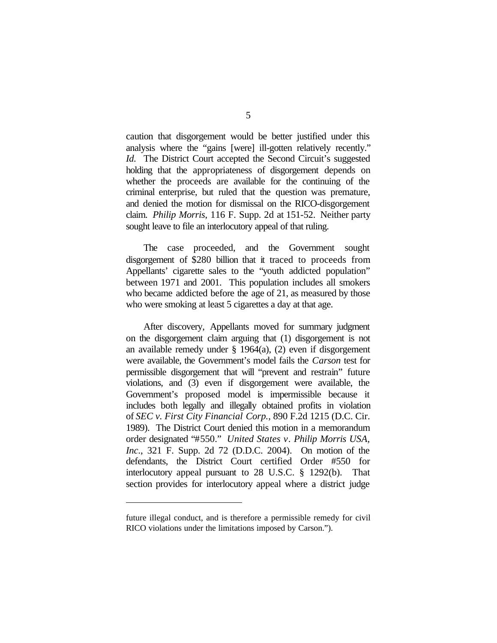caution that disgorgement would be better justified under this analysis where the "gains [were] ill-gotten relatively recently." *Id.* The District Court accepted the Second Circuit's suggested holding that the appropriateness of disgorgement depends on whether the proceeds are available for the continuing of the criminal enterprise, but ruled that the question was premature, and denied the motion for dismissal on the RICO-disgorgement claim. *Philip Morris*, 116 F. Supp. 2d at 151-52. Neither party sought leave to file an interlocutory appeal of that ruling.

The case proceeded, and the Government sought disgorgement of \$280 billion that it traced to proceeds from Appellants' cigarette sales to the "youth addicted population" between 1971 and 2001. This population includes all smokers who became addicted before the age of 21, as measured by those who were smoking at least 5 cigarettes a day at that age.

After discovery, Appellants moved for summary judgment on the disgorgement claim arguing that (1) disgorgement is not an available remedy under § 1964(a), (2) even if disgorgement were available, the Government's model fails the *Carson* test for permissible disgorgement that will "prevent and restrain" future violations, and (3) even if disgorgement were available, the Government's proposed model is impermissible because it includes both legally and illegally obtained profits in violation of *SEC v. First City Financial Corp.*, 890 F.2d 1215 (D.C. Cir. 1989). The District Court denied this motion in a memorandum order designated "#550." *United States v. Philip Morris USA, Inc*., 321 F. Supp. 2d 72 (D.D.C. 2004). On motion of the defendants, the District Court certified Order #550 for interlocutory appeal pursuant to 28 U.S.C. § 1292(b). That section provides for interlocutory appeal where a district judge

future illegal conduct, and is therefore a permissible remedy for civil RICO violations under the limitations imposed by Carson.").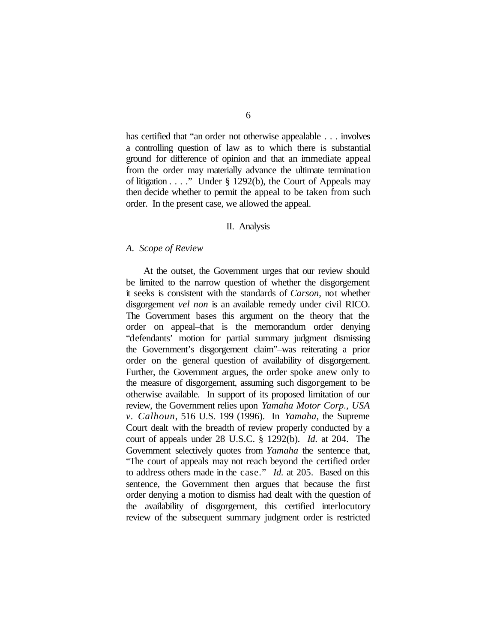has certified that "an order not otherwise appealable . . . involves a controlling question of law as to which there is substantial ground for difference of opinion and that an immediate appeal from the order may materially advance the ultimate termination of litigation  $\dots$  ." Under § 1292(b), the Court of Appeals may then decide whether to permit the appeal to be taken from such order. In the present case, we allowed the appeal.

#### II. Analysis

#### *A. Scope of Review*

At the outset, the Government urges that our review should be limited to the narrow question of whether the disgorgement it seeks is consistent with the standards of *Carson*, not whether disgorgement *vel non* is an available remedy under civil RICO. The Government bases this argument on the theory that the order on appeal–that is the memorandum order denying "defendants' motion for partial summary judgment dismissing the Government's disgorgement claim"–was reiterating a prior order on the general question of availability of disgorgement. Further, the Government argues, the order spoke anew only to the measure of disgorgement, assuming such disgorgement to be otherwise available. In support of its proposed limitation of our review, the Government relies upon *Yamaha Motor Corp., USA v. Calhoun*, 516 U.S. 199 (1996). In *Yamaha*, the Supreme Court dealt with the breadth of review properly conducted by a court of appeals under 28 U.S.C. § 1292(b). *Id.* at 204. The Government selectively quotes from *Yamaha* the sentence that, "The court of appeals may not reach beyond the certified order to address others made in the case." *Id.* at 205. Based on this sentence, the Government then argues that because the first order denying a motion to dismiss had dealt with the question of the availability of disgorgement, this certified interlocutory review of the subsequent summary judgment order is restricted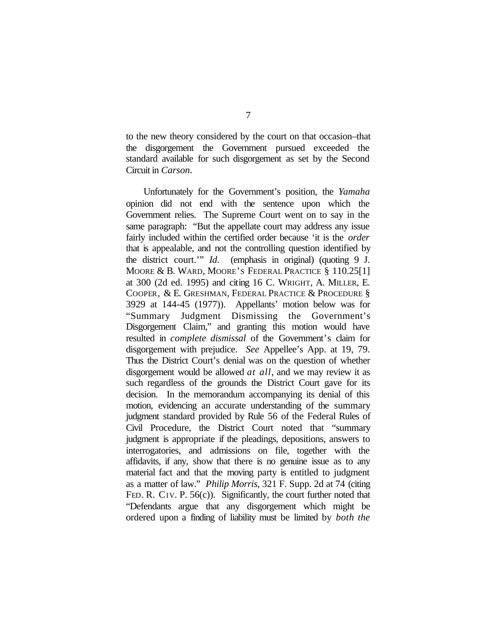to the new theory considered by the court on that occasion–that the disgorgement the Government pursued exceeded the standard available for such disgorgement as set by the Second Circuit in *Carson*.

Unfortunately for the Government's position, the *Yamaha* opinion did not end with the sentence upon which the Government relies. The Supreme Court went on to say in the same paragraph: "But the appellate court may address any issue fairly included within the certified order because 'it is the *order* that is appealable, and not the controlling question identified by the district court.'" *Id*. (emphasis in original) (quoting 9 J. MOORE & B. WARD, MOORE'S FEDERAL PRACTICE § 110.25[1] at 300 (2d ed. 1995) and citing 16 C. WRIGHT, A. MILLER, E. COOPER, & E. GRESHMAN, FEDERAL PRACTICE & PROCEDURE § 3929 at 144-45 (1977)). Appellants' motion below was for "Summary Judgment Dismissing the Government's Disgorgement Claim," and granting this motion would have resulted in *complete dismissal* of the Government's claim for disgorgement with prejudice. *See* Appellee's App. at 19, 79. Thus the District Court's denial was on the question of whether disgorgement would be allowed *at all*, and we may review it as such regardless of the grounds the District Court gave for its decision. In the memorandum accompanying its denial of this motion, evidencing an accurate understanding of the summary judgment standard provided by Rule 56 of the Federal Rules of Civil Procedure, the District Court noted that "summary judgment is appropriate if the pleadings, depositions, answers to interrogatories, and admissions on file, together with the affidavits, if any, show that there is no genuine issue as to any material fact and that the moving party is entitled to judgment as a matter of law." *Philip Morris*, 321 F. Supp. 2d at 74 (citing FED. R. CIV. P. 56(c)). Significantly, the court further noted that "Defendants argue that any disgorgement which might be ordered upon a finding of liability must be limited by *both the*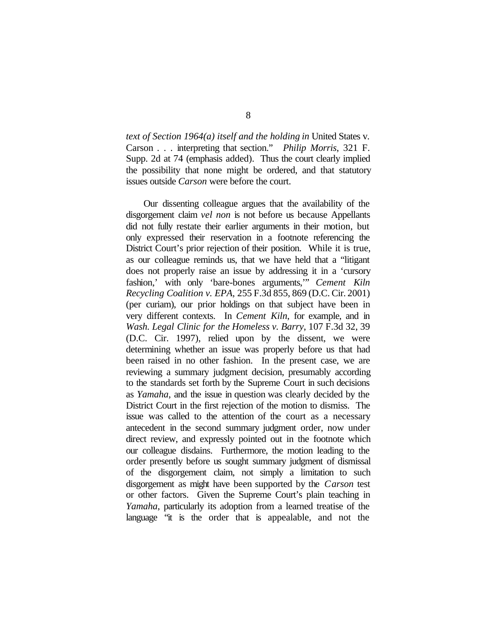*text of Section 1964(a) itself and the holding in* United States v. Carson . . . interpreting that section." *Philip Morris*, 321 F. Supp. 2d at 74 (emphasis added). Thus the court clearly implied the possibility that none might be ordered, and that statutory issues outside *Carson* were before the court.

Our dissenting colleague argues that the availability of the disgorgement claim *vel non* is not before us because Appellants did not fully restate their earlier arguments in their motion, but only expressed their reservation in a footnote referencing the District Court's prior rejection of their position. While it is true, as our colleague reminds us, that we have held that a "litigant does not properly raise an issue by addressing it in a 'cursory fashion,' with only 'bare-bones arguments,'" *Cement Kiln Recycling Coalition v. EPA*, 255 F.3d 855, 869 (D.C. Cir. 2001) (per curiam), our prior holdings on that subject have been in very different contexts. In *Cement Kiln*, for example, and in *Wash. Legal Clinic for the Homeless v. Barry*, 107 F.3d 32, 39 (D.C. Cir. 1997), relied upon by the dissent, we were determining whether an issue was properly before us that had been raised in no other fashion. In the present case, we are reviewing a summary judgment decision, presumably according to the standards set forth by the Supreme Court in such decisions as *Yamaha*, and the issue in question was clearly decided by the District Court in the first rejection of the motion to dismiss. The issue was called to the attention of the court as a necessary antecedent in the second summary judgment order, now under direct review, and expressly pointed out in the footnote which our colleague disdains. Furthermore, the motion leading to the order presently before us sought summary judgment of dismissal of the disgorgement claim, not simply a limitation to such disgorgement as might have been supported by the *Carson* test or other factors. Given the Supreme Court's plain teaching in *Yamaha*, particularly its adoption from a learned treatise of the language "it is the order that is appealable, and not the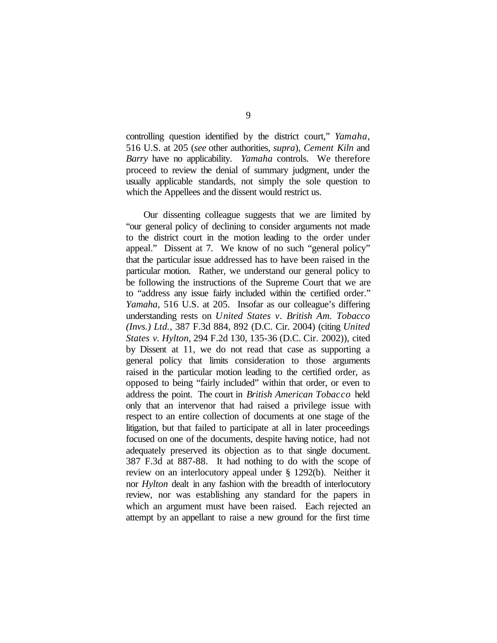controlling question identified by the district court," *Yamaha*, 516 U.S. at 205 (*see* other authorities, *supra*), *Cement Kiln* and *Barry* have no applicability. *Yamaha* controls. We therefore proceed to review the denial of summary judgment, under the usually applicable standards, not simply the sole question to which the Appellees and the dissent would restrict us.

Our dissenting colleague suggests that we are limited by "our general policy of declining to consider arguments not made to the district court in the motion leading to the order under appeal." Dissent at 7. We know of no such "general policy" that the particular issue addressed has to have been raised in the particular motion. Rather, we understand our general policy to be following the instructions of the Supreme Court that we are to "address any issue fairly included within the certified order." *Yamaha*, 516 U.S. at 205. Insofar as our colleague's differing understanding rests on *United States v. British Am. Tobacco (Invs.) Ltd.*, 387 F.3d 884, 892 (D.C. Cir. 2004) (citing *United States v. Hylton*, 294 F.2d 130, 135-36 (D.C. Cir. 2002)), cited by Dissent at 11, we do not read that case as supporting a general policy that limits consideration to those arguments raised in the particular motion leading to the certified order, as opposed to being "fairly included" within that order, or even to address the point. The court in *British American Tobacco* held only that an intervenor that had raised a privilege issue with respect to an entire collection of documents at one stage of the litigation, but that failed to participate at all in later proceedings focused on one of the documents, despite having notice, had not adequately preserved its objection as to that single document. 387 F.3d at 887-88. It had nothing to do with the scope of review on an interlocutory appeal under § 1292(b). Neither it nor *Hylton* dealt in any fashion with the breadth of interlocutory review, nor was establishing any standard for the papers in which an argument must have been raised. Each rejected an attempt by an appellant to raise a new ground for the first time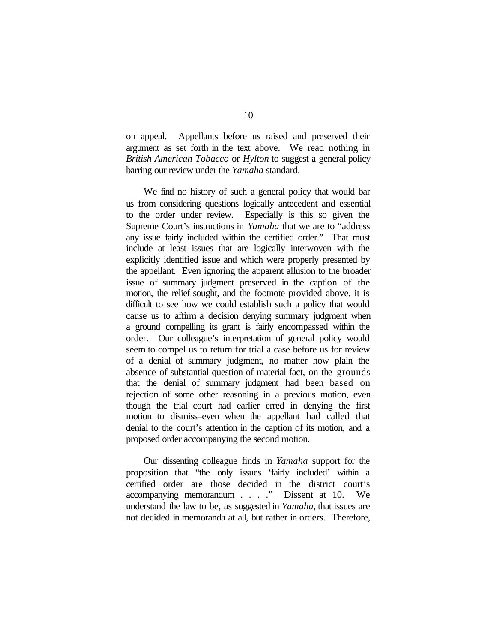on appeal. Appellants before us raised and preserved their argument as set forth in the text above. We read nothing in *British American Tobacco* or *Hylton* to suggest a general policy barring our review under the *Yamaha* standard.

We find no history of such a general policy that would bar us from considering questions logically antecedent and essential to the order under review. Especially is this so given the Supreme Court's instructions in *Yamaha* that we are to "address any issue fairly included within the certified order." That must include at least issues that are logically interwoven with the explicitly identified issue and which were properly presented by the appellant. Even ignoring the apparent allusion to the broader issue of summary judgment preserved in the caption of the motion, the relief sought, and the footnote provided above, it is difficult to see how we could establish such a policy that would cause us to affirm a decision denying summary judgment when a ground compelling its grant is fairly encompassed within the order. Our colleague's interpretation of general policy would seem to compel us to return for trial a case before us for review of a denial of summary judgment, no matter how plain the absence of substantial question of material fact, on the grounds that the denial of summary judgment had been based on rejection of some other reasoning in a previous motion, even though the trial court had earlier erred in denying the first motion to dismiss–even when the appellant had called that denial to the court's attention in the caption of its motion, and a proposed order accompanying the second motion.

Our dissenting colleague finds in *Yamaha* support for the proposition that "the only issues 'fairly included' within a certified order are those decided in the district court's accompanying memorandum . . . ." Dissent at 10. We understand the law to be, as suggested in *Yamaha*, that issues are not decided in memoranda at all, but rather in orders. Therefore,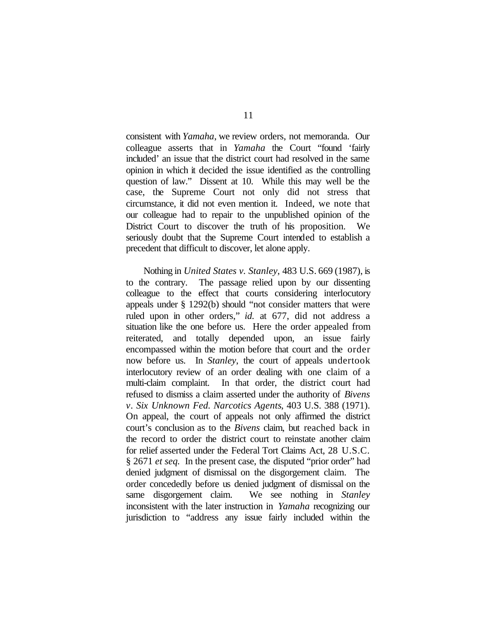consistent with *Yamaha*, we review orders, not memoranda. Our colleague asserts that in *Yamaha* the Court "found 'fairly included' an issue that the district court had resolved in the same opinion in which it decided the issue identified as the controlling question of law." Dissent at 10. While this may well be the case, the Supreme Court not only did not stress that circumstance, it did not even mention it. Indeed, we note that our colleague had to repair to the unpublished opinion of the District Court to discover the truth of his proposition. We seriously doubt that the Supreme Court intended to establish a precedent that difficult to discover, let alone apply.

Nothing in *United States v. Stanley*, 483 U.S. 669 (1987), is to the contrary. The passage relied upon by our dissenting colleague to the effect that courts considering interlocutory appeals under § 1292(b) should "not consider matters that were ruled upon in other orders," *id.* at 677, did not address a situation like the one before us. Here the order appealed from reiterated, and totally depended upon, an issue fairly encompassed within the motion before that court and the order now before us. In *Stanley*, the court of appeals undertook interlocutory review of an order dealing with one claim of a multi-claim complaint. In that order, the district court had refused to dismiss a claim asserted under the authority of *Bivens v. Six Unknown Fed. Narcotics Agents*, 403 U.S. 388 (1971). On appeal, the court of appeals not only affirmed the district court's conclusion as to the *Bivens* claim, but reached back in the record to order the district court to reinstate another claim for relief asserted under the Federal Tort Claims Act, 28 U.S.C. § 2671 *et seq.* In the present case, the disputed "prior order" had denied judgment of dismissal on the disgorgement claim. The order concededly before us denied judgment of dismissal on the same disgorgement claim. We see nothing in *Stanley* inconsistent with the later instruction in *Yamaha* recognizing our jurisdiction to "address any issue fairly included within the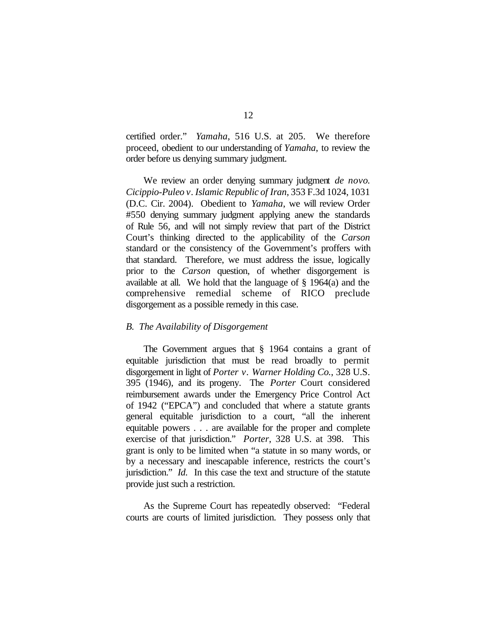certified order." *Yamaha*, 516 U.S. at 205. We therefore proceed, obedient to our understanding of *Yamaha*, to review the order before us denying summary judgment.

We review an order denying summary judgment *de novo*. *Cicippio-Puleo v. Islamic Republic of Iran*, 353 F.3d 1024, 1031 (D.C. Cir. 2004). Obedient to *Yamaha*, we will review Order #550 denying summary judgment applying anew the standards of Rule 56, and will not simply review that part of the District Court's thinking directed to the applicability of the *Carson* standard or the consistency of the Government's proffers with that standard. Therefore, we must address the issue, logically prior to the *Carson* question, of whether disgorgement is available at all. We hold that the language of § 1964(a) and the comprehensive remedial scheme of RICO preclude disgorgement as a possible remedy in this case.

## *B. The Availability of Disgorgement*

The Government argues that § 1964 contains a grant of equitable jurisdiction that must be read broadly to permit disgorgement in light of *Porter v. Warner Holding Co.*, 328 U.S. 395 (1946), and its progeny. The *Porter* Court considered reimbursement awards under the Emergency Price Control Act of 1942 ("EPCA") and concluded that where a statute grants general equitable jurisdiction to a court, "all the inherent equitable powers . . . are available for the proper and complete exercise of that jurisdiction." *Porter*, 328 U.S. at 398. This grant is only to be limited when "a statute in so many words, or by a necessary and inescapable inference, restricts the court's jurisdiction." *Id.* In this case the text and structure of the statute provide just such a restriction.

As the Supreme Court has repeatedly observed: "Federal courts are courts of limited jurisdiction. They possess only that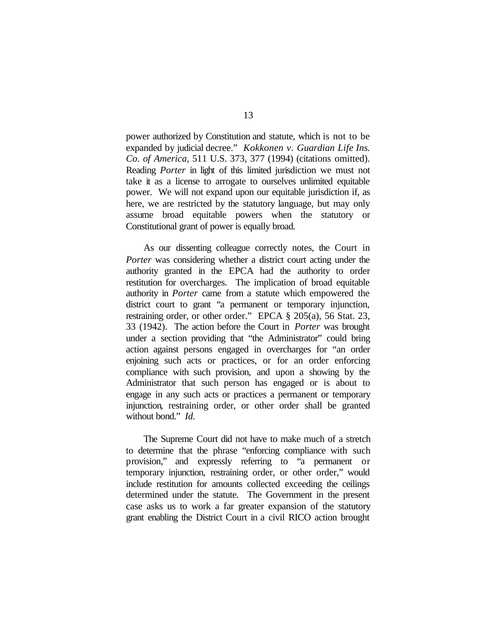power authorized by Constitution and statute, which is not to be expanded by judicial decree." *Kokkonen v. Guardian Life Ins. Co. of America*, 511 U.S. 373, 377 (1994) (citations omitted). Reading *Porter* in light of this limited jurisdiction we must not take it as a license to arrogate to ourselves unlimited equitable power. We will not expand upon our equitable jurisdiction if, as here, we are restricted by the statutory language, but may only assume broad equitable powers when the statutory or Constitutional grant of power is equally broad.

As our dissenting colleague correctly notes, the Court in *Porter* was considering whether a district court acting under the authority granted in the EPCA had the authority to order restitution for overcharges. The implication of broad equitable authority in *Porter* came from a statute which empowered the district court to grant "a permanent or temporary injunction, restraining order, or other order." EPCA § 205(a), 56 Stat. 23, 33 (1942). The action before the Court in *Porter* was brought under a section providing that "the Administrator" could bring action against persons engaged in overcharges for "an order enjoining such acts or practices, or for an order enforcing compliance with such provision, and upon a showing by the Administrator that such person has engaged or is about to engage in any such acts or practices a permanent or temporary injunction, restraining order, or other order shall be granted without bond." *Id.*

The Supreme Court did not have to make much of a stretch to determine that the phrase "enforcing compliance with such provision," and expressly referring to "a permanent or temporary injunction, restraining order, or other order," would include restitution for amounts collected exceeding the ceilings determined under the statute. The Government in the present case asks us to work a far greater expansion of the statutory grant enabling the District Court in a civil RICO action brought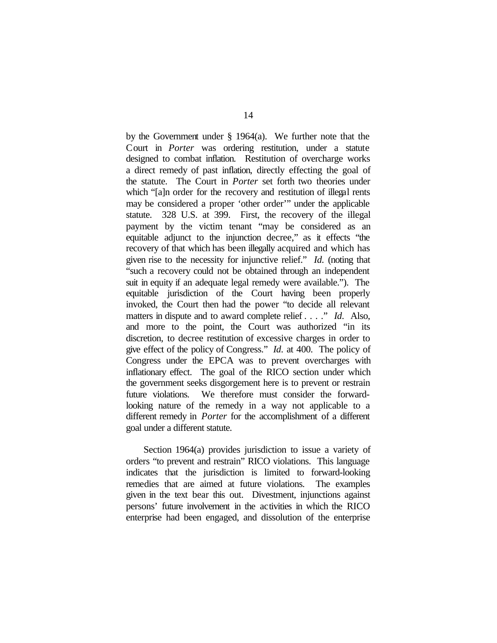by the Government under  $\S$  1964(a). We further note that the Court in *Porter* was ordering restitution, under a statute designed to combat inflation. Restitution of overcharge works a direct remedy of past inflation, directly effecting the goal of the statute. The Court in *Porter* set forth two theories under which "[a]n order for the recovery and restitution of illegal rents may be considered a proper 'other order'" under the applicable statute. 328 U.S. at 399. First, the recovery of the illegal payment by the victim tenant "may be considered as an equitable adjunct to the injunction decree," as it effects "the recovery of that which has been illegally acquired and which has given rise to the necessity for injunctive relief." *Id.* (noting that "such a recovery could not be obtained through an independent suit in equity if an adequate legal remedy were available."). The equitable jurisdiction of the Court having been properly invoked, the Court then had the power "to decide all relevant matters in dispute and to award complete relief . . . ." *Id.* Also, and more to the point, the Court was authorized "in its discretion, to decree restitution of excessive charges in order to give effect of the policy of Congress." *Id.* at 400. The policy of Congress under the EPCA was to prevent overcharges with inflationary effect. The goal of the RICO section under which the government seeks disgorgement here is to prevent or restrain future violations. We therefore must consider the forwardlooking nature of the remedy in a way not applicable to a different remedy in *Porter* for the accomplishment of a different goal under a different statute.

Section 1964(a) provides jurisdiction to issue a variety of orders "to prevent and restrain" RICO violations. This language indicates that the jurisdiction is limited to forward-looking remedies that are aimed at future violations. The examples given in the text bear this out. Divestment, injunctions against persons' future involvement in the activities in which the RICO enterprise had been engaged, and dissolution of the enterprise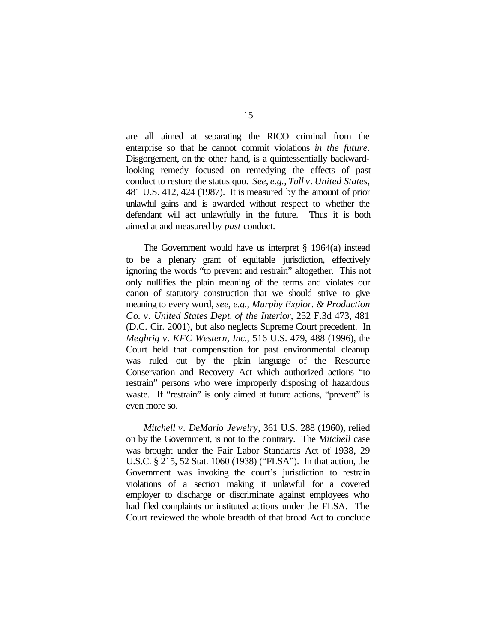are all aimed at separating the RICO criminal from the enterprise so that he cannot commit violations *in the future*. Disgorgement, on the other hand, is a quintessentially backwardlooking remedy focused on remedying the effects of past conduct to restore the status quo. *See, e.g., Tull v. United States*, 481 U.S. 412, 424 (1987). It is measured by the amount of prior unlawful gains and is awarded without respect to whether the defendant will act unlawfully in the future. Thus it is both aimed at and measured by *past* conduct.

The Government would have us interpret  $\S$  1964(a) instead to be a plenary grant of equitable jurisdiction, effectively ignoring the words "to prevent and restrain" altogether. This not only nullifies the plain meaning of the terms and violates our canon of statutory construction that we should strive to give meaning to every word, *see, e.g.*, *Murphy Explor. & Production Co. v. United States Dept. of the Interior*, 252 F.3d 473, 481 (D.C. Cir. 2001), but also neglects Supreme Court precedent. In *Meghrig v. KFC Western, Inc.*, 516 U.S. 479, 488 (1996), the Court held that compensation for past environmental cleanup was ruled out by the plain language of the Resource Conservation and Recovery Act which authorized actions "to restrain" persons who were improperly disposing of hazardous waste. If "restrain" is only aimed at future actions, "prevent" is even more so.

*Mitchell v. DeMario Jewelry*, 361 U.S. 288 (1960), relied on by the Government, is not to the contrary. The *Mitchell* case was brought under the Fair Labor Standards Act of 1938, 29 U.S.C. § 215, 52 Stat. 1060 (1938) ("FLSA"). In that action, the Government was invoking the court's jurisdiction to restrain violations of a section making it unlawful for a covered employer to discharge or discriminate against employees who had filed complaints or instituted actions under the FLSA. The Court reviewed the whole breadth of that broad Act to conclude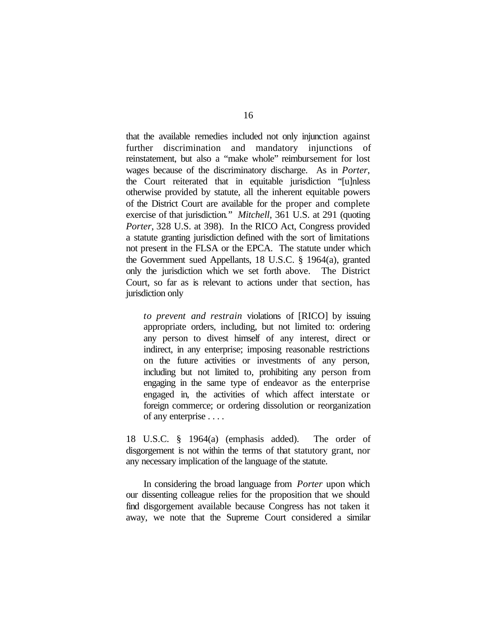that the available remedies included not only injunction against further discrimination and mandatory injunctions of reinstatement, but also a "make whole" reimbursement for lost wages because of the discriminatory discharge. As in *Porter*, the Court reiterated that in equitable jurisdiction "[u]nless otherwise provided by statute, all the inherent equitable powers of the District Court are available for the proper and complete exercise of that jurisdiction." *Mitchell*, 361 U.S. at 291 (quoting *Porter*, 328 U.S. at 398). In the RICO Act, Congress provided a statute granting jurisdiction defined with the sort of limitations not present in the FLSA or the EPCA. The statute under which the Government sued Appellants, 18 U.S.C. § 1964(a), granted only the jurisdiction which we set forth above. The District Court, so far as is relevant to actions under that section, has jurisdiction only

*to prevent and restrain* violations of [RICO] by issuing appropriate orders, including, but not limited to: ordering any person to divest himself of any interest, direct or indirect, in any enterprise; imposing reasonable restrictions on the future activities or investments of any person, including but not limited to, prohibiting any person from engaging in the same type of endeavor as the enterprise engaged in, the activities of which affect interstate or foreign commerce; or ordering dissolution or reorganization of any enterprise . . . .

18 U.S.C. § 1964(a) (emphasis added). The order of disgorgement is not within the terms of that statutory grant, nor any necessary implication of the language of the statute.

In considering the broad language from *Porter* upon which our dissenting colleague relies for the proposition that we should find disgorgement available because Congress has not taken it away, we note that the Supreme Court considered a similar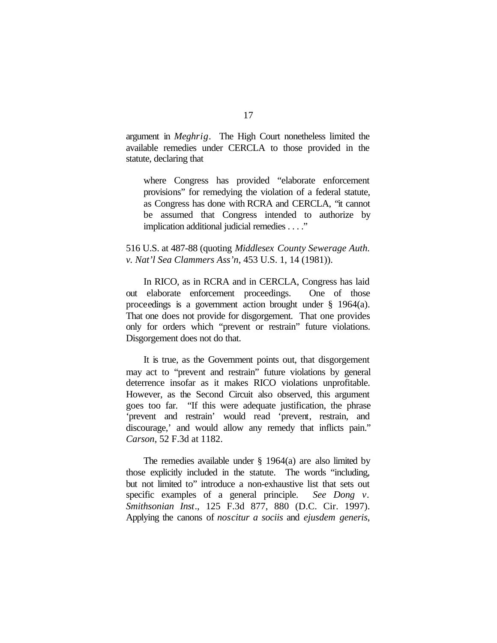argument in *Meghrig*. The High Court nonetheless limited the available remedies under CERCLA to those provided in the statute, declaring that

where Congress has provided "elaborate enforcement provisions" for remedying the violation of a federal statute, as Congress has done with RCRA and CERCLA, "it cannot be assumed that Congress intended to authorize by implication additional judicial remedies . . . ."

516 U.S. at 487-88 (quoting *Middlesex County Sewerage Auth. v. Nat'l Sea Clammers Ass'n*, 453 U.S. 1, 14 (1981)).

In RICO, as in RCRA and in CERCLA, Congress has laid out elaborate enforcement proceedings. One of those proceedings is a government action brought under § 1964(a). That one does not provide for disgorgement. That one provides only for orders which "prevent or restrain" future violations. Disgorgement does not do that.

It is true, as the Government points out, that disgorgement may act to "prevent and restrain" future violations by general deterrence insofar as it makes RICO violations unprofitable. However, as the Second Circuit also observed, this argument goes too far. "If this were adequate justification, the phrase 'prevent and restrain' would read 'prevent, restrain, and discourage,' and would allow any remedy that inflicts pain." *Carson*, 52 F.3d at 1182.

The remedies available under  $\S$  1964(a) are also limited by those explicitly included in the statute. The words "including, but not limited to" introduce a non-exhaustive list that sets out specific examples of a general principle. *See Dong v. Smithsonian Inst*., 125 F.3d 877, 880 (D.C. Cir. 1997). Applying the canons of *noscitur a sociis* and *ejusdem generis*,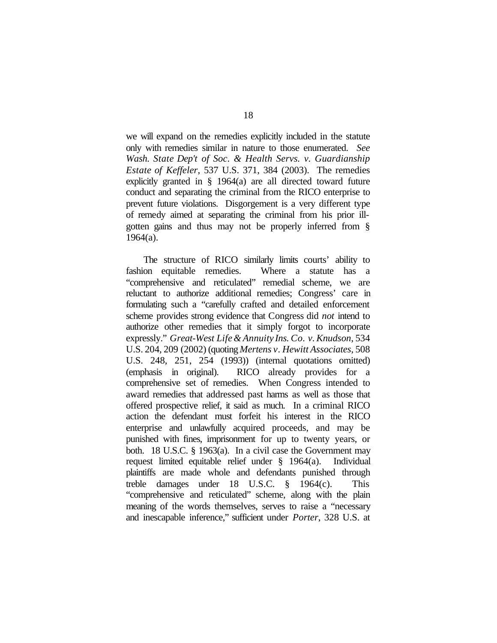we will expand on the remedies explicitly included in the statute only with remedies similar in nature to those enumerated. *See Wash. State Dep't of Soc. & Health Servs. v. Guardianship Estate of Keffeler*, 537 U.S. 371, 384 (2003). The remedies explicitly granted in § 1964(a) are all directed toward future conduct and separating the criminal from the RICO enterprise to prevent future violations. Disgorgement is a very different type of remedy aimed at separating the criminal from his prior illgotten gains and thus may not be properly inferred from § 1964(a).

The structure of RICO similarly limits courts' ability to fashion equitable remedies. Where a statute has a "comprehensive and reticulated" remedial scheme, we are reluctant to authorize additional remedies; Congress' care in formulating such a "carefully crafted and detailed enforcement scheme provides strong evidence that Congress did *not* intend to authorize other remedies that it simply forgot to incorporate expressly." *Great-West Life& Annuity Ins. Co. v.Knudson*, 534 U.S. 204, 209 (2002) (quoting *Mertens v. Hewitt Associates*, 508 U.S. 248, 251, 254 (1993)) (internal quotations omitted) (emphasis in original). RICO already provides for a comprehensive set of remedies. When Congress intended to award remedies that addressed past harms as well as those that offered prospective relief, it said as much. In a criminal RICO action the defendant must forfeit his interest in the RICO enterprise and unlawfully acquired proceeds, and may be punished with fines, imprisonment for up to twenty years, or both. 18 U.S.C. § 1963(a). In a civil case the Government may request limited equitable relief under § 1964(a). Individual plaintiffs are made whole and defendants punished through treble damages under 18 U.S.C. § 1964(c). This "comprehensive and reticulated" scheme, along with the plain meaning of the words themselves, serves to raise a "necessary and inescapable inference," sufficient under *Porter*, 328 U.S. at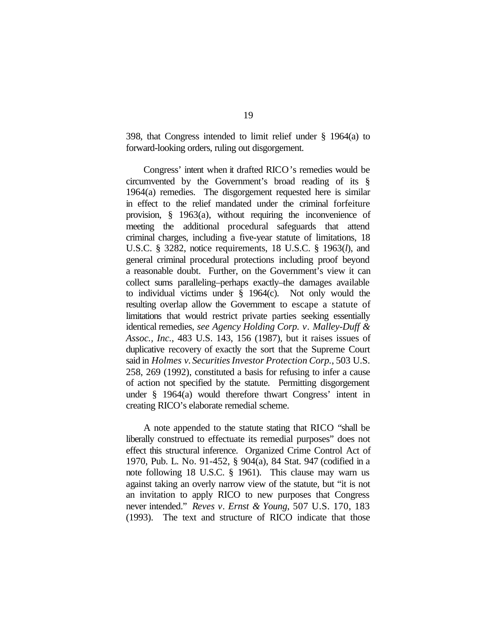398, that Congress intended to limit relief under § 1964(a) to forward-looking orders, ruling out disgorgement.

Congress' intent when it drafted RICO's remedies would be circumvented by the Government's broad reading of its § 1964(a) remedies. The disgorgement requested here is similar in effect to the relief mandated under the criminal forfeiture provision, § 1963(a), without requiring the inconvenience of meeting the additional procedural safeguards that attend criminal charges, including a five-year statute of limitations, 18 U.S.C. § 3282, notice requirements, 18 U.S.C. § 1963(*l*), and general criminal procedural protections including proof beyond a reasonable doubt. Further, on the Government's view it can collect sums paralleling–perhaps exactly–the damages available to individual victims under § 1964(c). Not only would the resulting overlap allow the Government to escape a statute of limitations that would restrict private parties seeking essentially identical remedies, *see Agency Holding Corp. v. Malley-Duff & Assoc., Inc.*, 483 U.S. 143, 156 (1987), but it raises issues of duplicative recovery of exactly the sort that the Supreme Court said in *Holmes v. SecuritiesInvestor Protection Corp.*, 503 U.S. 258, 269 (1992), constituted a basis for refusing to infer a cause of action not specified by the statute. Permitting disgorgement under § 1964(a) would therefore thwart Congress' intent in creating RICO's elaborate remedial scheme.

A note appended to the statute stating that RICO "shall be liberally construed to effectuate its remedial purposes" does not effect this structural inference. Organized Crime Control Act of 1970, Pub. L. No. 91-452, § 904(a), 84 Stat. 947 (codified in a note following 18 U.S.C. § 1961). This clause may warn us against taking an overly narrow view of the statute, but "it is not an invitation to apply RICO to new purposes that Congress never intended." *Reves v. Ernst & Young*, 507 U.S. 170, 183 (1993). The text and structure of RICO indicate that those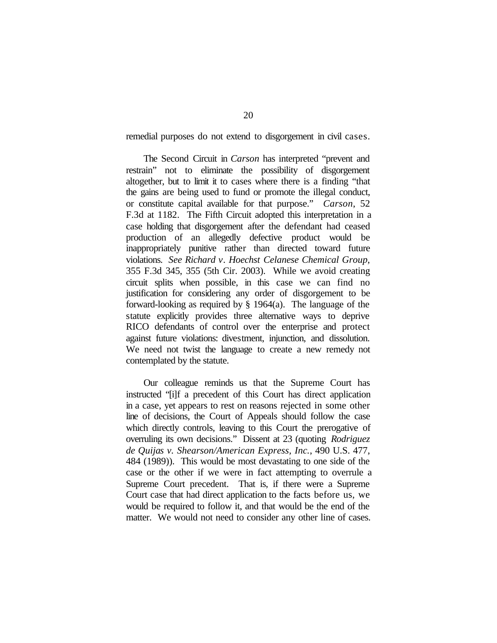remedial purposes do not extend to disgorgement in civil cases.

The Second Circuit in *Carson* has interpreted "prevent and restrain" not to eliminate the possibility of disgorgement altogether, but to limit it to cases where there is a finding "that the gains are being used to fund or promote the illegal conduct, or constitute capital available for that purpose." *Carson*, 52 F.3d at 1182. The Fifth Circuit adopted this interpretation in a case holding that disgorgement after the defendant had ceased production of an allegedly defective product would be inappropriately punitive rather than directed toward future violations. *See Richard v. Hoechst Celanese Chemical Group*, 355 F.3d 345, 355 (5th Cir. 2003). While we avoid creating circuit splits when possible, in this case we can find no justification for considering any order of disgorgement to be forward-looking as required by § 1964(a). The language of the statute explicitly provides three alternative ways to deprive RICO defendants of control over the enterprise and protect against future violations: divestment, injunction, and dissolution. We need not twist the language to create a new remedy not contemplated by the statute.

Our colleague reminds us that the Supreme Court has instructed "[i]f a precedent of this Court has direct application in a case, yet appears to rest on reasons rejected in some other line of decisions, the Court of Appeals should follow the case which directly controls, leaving to this Court the prerogative of overruling its own decisions." Dissent at 23 (quoting *Rodriguez de Quijas v. Shearson/American Express, Inc.*, 490 U.S. 477, 484 (1989)). This would be most devastating to one side of the case or the other if we were in fact attempting to overrule a Supreme Court precedent. That is, if there were a Supreme Court case that had direct application to the facts before us, we would be required to follow it, and that would be the end of the matter. We would not need to consider any other line of cases.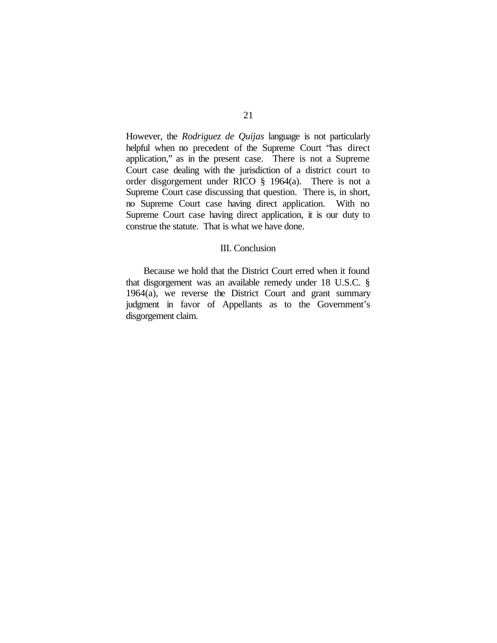However, the *Rodriguez de Quijas* language is not particularly helpful when no precedent of the Supreme Court "has direct application," as in the present case. There is not a Supreme Court case dealing with the jurisdiction of a district court to order disgorgement under RICO § 1964(a). There is not a Supreme Court case discussing that question. There is, in short, no Supreme Court case having direct application. With no Supreme Court case having direct application, it is our duty to construe the statute. That is what we have done.

#### III. Conclusion

Because we hold that the District Court erred when it found that disgorgement was an available remedy under 18 U.S.C. § 1964(a), we reverse the District Court and grant summary judgment in favor of Appellants as to the Government's disgorgement claim.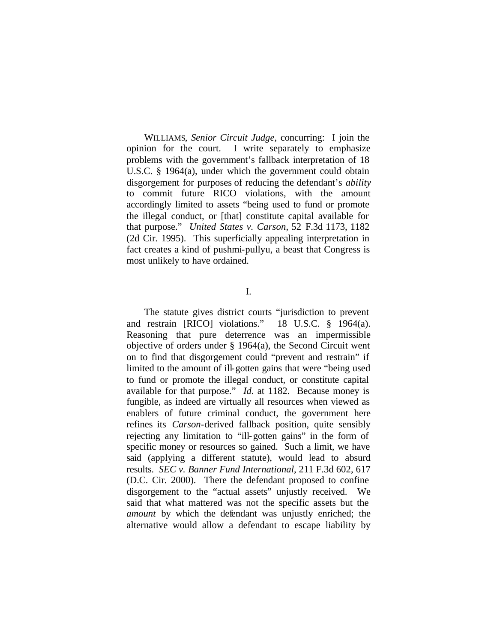WILLIAMS, *Senior Circuit Judge*, concurring: I join the opinion for the court. I write separately to emphasize problems with the government's fallback interpretation of 18 U.S.C. § 1964(a), under which the government could obtain disgorgement for purposes of reducing the defendant's *ability* to commit future RICO violations, with the amount accordingly limited to assets "being used to fund or promote the illegal conduct, or [that] constitute capital available for that purpose." *United States v. Carson*, 52 F.3d 1173, 1182 (2d Cir. 1995). This superficially appealing interpretation in fact creates a kind of pushmi-pullyu, a beast that Congress is most unlikely to have ordained.

I.

The statute gives district courts "jurisdiction to prevent and restrain [RICO] violations." 18 U.S.C. § 1964(a). Reasoning that pure deterrence was an impermissible objective of orders under § 1964(a), the Second Circuit went on to find that disgorgement could "prevent and restrain" if limited to the amount of ill-gotten gains that were "being used to fund or promote the illegal conduct, or constitute capital available for that purpose." *Id*. at 1182. Because money is fungible, as indeed are virtually all resources when viewed as enablers of future criminal conduct, the government here refines its *Carson*-derived fallback position, quite sensibly rejecting any limitation to "ill-gotten gains" in the form of specific money or resources so gained. Such a limit, we have said (applying a different statute), would lead to absurd results. *SEC v. Banner Fund International*, 211 F.3d 602, 617 (D.C. Cir. 2000). There the defendant proposed to confine disgorgement to the "actual assets" unjustly received. We said that what mattered was not the specific assets but the *amount* by which the defendant was unjustly enriched; the alternative would allow a defendant to escape liability by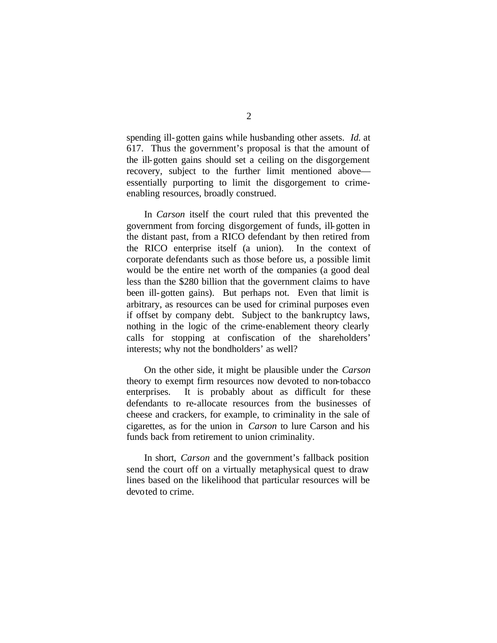spending ill-gotten gains while husbanding other assets. *Id.* at 617. Thus the government's proposal is that the amount of the ill-gotten gains should set a ceiling on the disgorgement recovery, subject to the further limit mentioned above essentially purporting to limit the disgorgement to crimeenabling resources, broadly construed.

In *Carson* itself the court ruled that this prevented the government from forcing disgorgement of funds, ill-gotten in the distant past, from a RICO defendant by then retired from the RICO enterprise itself (a union). In the context of corporate defendants such as those before us, a possible limit would be the entire net worth of the companies (a good deal less than the \$280 billion that the government claims to have been ill-gotten gains). But perhaps not. Even that limit is arbitrary, as resources can be used for criminal purposes even if offset by company debt. Subject to the bankruptcy laws, nothing in the logic of the crime-enablement theory clearly calls for stopping at confiscation of the shareholders' interests; why not the bondholders' as well?

On the other side, it might be plausible under the *Carson* theory to exempt firm resources now devoted to non-tobacco enterprises. It is probably about as difficult for these defendants to re-allocate resources from the businesses of cheese and crackers, for example, to criminality in the sale of cigarettes, as for the union in *Carson* to lure Carson and his funds back from retirement to union criminality.

In short, *Carson* and the government's fallback position send the court off on a virtually metaphysical quest to draw lines based on the likelihood that particular resources will be devoted to crime.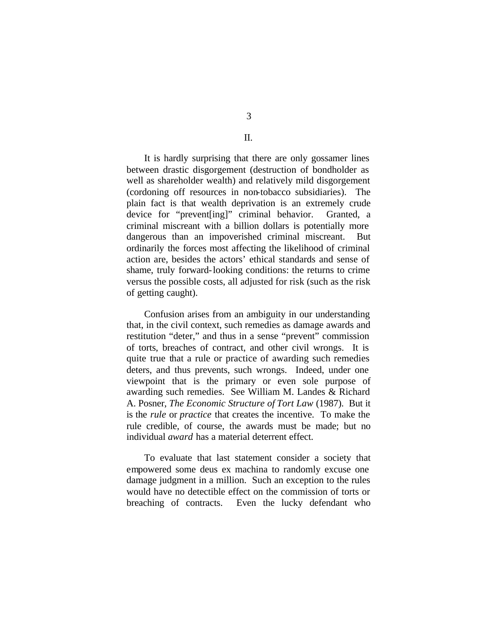II.

It is hardly surprising that there are only gossamer lines between drastic disgorgement (destruction of bondholder as well as shareholder wealth) and relatively mild disgorgement (cordoning off resources in non-tobacco subsidiaries). The plain fact is that wealth deprivation is an extremely crude device for "prevent[ing]" criminal behavior. Granted, a criminal miscreant with a billion dollars is potentially more dangerous than an impoverished criminal miscreant. But ordinarily the forces most affecting the likelihood of criminal action are, besides the actors' ethical standards and sense of shame, truly forward-looking conditions: the returns to crime versus the possible costs, all adjusted for risk (such as the risk of getting caught).

Confusion arises from an ambiguity in our understanding that, in the civil context, such remedies as damage awards and restitution "deter," and thus in a sense "prevent" commission of torts, breaches of contract, and other civil wrongs. It is quite true that a rule or practice of awarding such remedies deters, and thus prevents, such wrongs. Indeed, under one viewpoint that is the primary or even sole purpose of awarding such remedies. See William M. Landes & Richard A. Posner, *The Economic Structure of Tort Law* (1987). But it is the *rule* or *practice* that creates the incentive. To make the rule credible, of course, the awards must be made; but no individual *award* has a material deterrent effect.

To evaluate that last statement consider a society that empowered some deus ex machina to randomly excuse one damage judgment in a million. Such an exception to the rules would have no detectible effect on the commission of torts or breaching of contracts. Even the lucky defendant who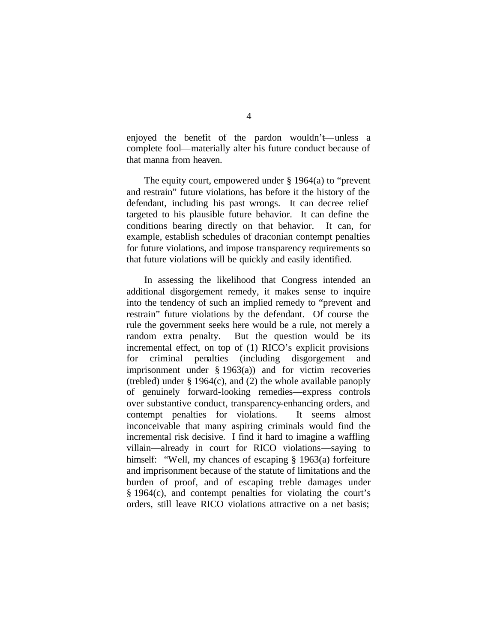enjoyed the benefit of the pardon wouldn't—unless a complete fool—materially alter his future conduct because of that manna from heaven.

The equity court, empowered under § 1964(a) to "prevent and restrain" future violations, has before it the history of the defendant, including his past wrongs. It can decree relief targeted to his plausible future behavior. It can define the conditions bearing directly on that behavior. It can, for example, establish schedules of draconian contempt penalties for future violations, and impose transparency requirements so that future violations will be quickly and easily identified.

In assessing the likelihood that Congress intended an additional disgorgement remedy, it makes sense to inquire into the tendency of such an implied remedy to "prevent and restrain" future violations by the defendant. Of course the rule the government seeks here would be a rule, not merely a random extra penalty. But the question would be its incremental effect, on top of (1) RICO's explicit provisions for criminal penalties (including disgorgement and imprisonment under § 1963(a)) and for victim recoveries (trebled) under § 1964(c), and (2) the whole available panoply of genuinely forward-looking remedies—express controls over substantive conduct, transparency-enhancing orders, and contempt penalties for violations. It seems almost inconceivable that many aspiring criminals would find the incremental risk decisive. I find it hard to imagine a waffling villain—already in court for RICO violations—saying to himself: "Well, my chances of escaping § 1963(a) forfeiture and imprisonment because of the statute of limitations and the burden of proof, and of escaping treble damages under § 1964(c), and contempt penalties for violating the court's orders, still leave RICO violations attractive on a net basis;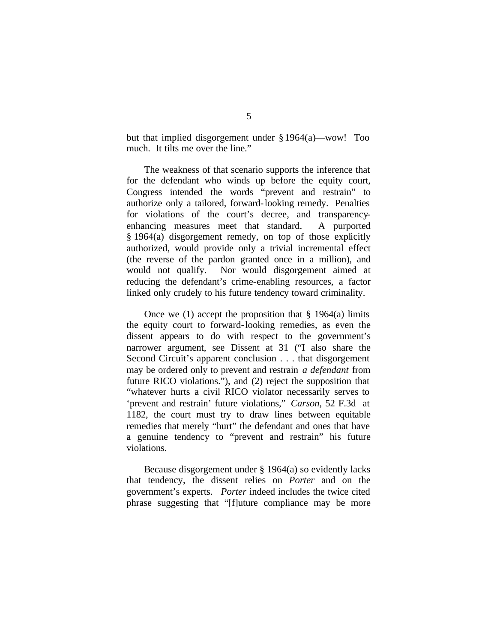but that implied disgorgement under § 1964(a)—wow! Too much. It tilts me over the line."

The weakness of that scenario supports the inference that for the defendant who winds up before the equity court, Congress intended the words "prevent and restrain" to authorize only a tailored, forward-looking remedy. Penalties for violations of the court's decree, and transparencyenhancing measures meet that standard. A purported § 1964(a) disgorgement remedy, on top of those explicitly authorized, would provide only a trivial incremental effect (the reverse of the pardon granted once in a million), and would not qualify. Nor would disgorgement aimed at reducing the defendant's crime-enabling resources, a factor linked only crudely to his future tendency toward criminality.

Once we (1) accept the proposition that  $\S$  1964(a) limits the equity court to forward-looking remedies, as even the dissent appears to do with respect to the government's narrower argument, see Dissent at 31 ("I also share the Second Circuit's apparent conclusion . . . that disgorgement may be ordered only to prevent and restrain *a defendant* from future RICO violations."), and (2) reject the supposition that "whatever hurts a civil RICO violator necessarily serves to 'prevent and restrain' future violations," *Carson*, 52 F.3d at 1182, the court must try to draw lines between equitable remedies that merely "hurt" the defendant and ones that have a genuine tendency to "prevent and restrain" his future violations.

Because disgorgement under § 1964(a) so evidently lacks that tendency, the dissent relies on *Porter* and on the government's experts. *Porter* indeed includes the twice cited phrase suggesting that "[f]uture compliance may be more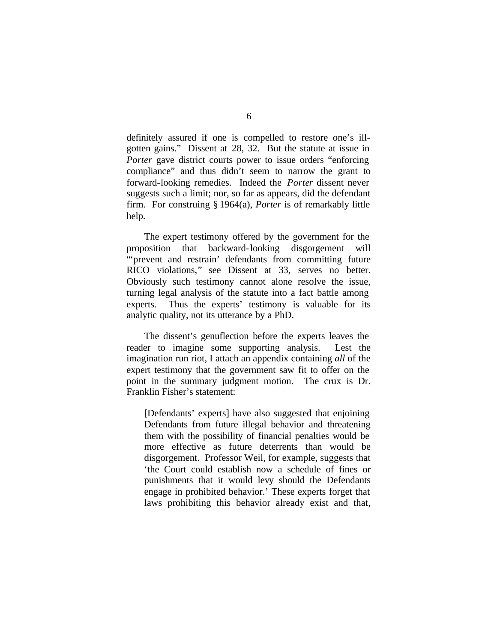definitely assured if one is compelled to restore one's illgotten gains." Dissent at 28, 32. But the statute at issue in *Porter* gave district courts power to issue orders "enforcing compliance" and thus didn't seem to narrow the grant to forward-looking remedies. Indeed the *Porter* dissent never suggests such a limit; nor, so far as appears, did the defendant firm. For construing § 1964(a), *Porter* is of remarkably little help.

The expert testimony offered by the government for the proposition that backward-looking disgorgement will "prevent and restrain' defendants from committing future RICO violations," see Dissent at 33, serves no better. Obviously such testimony cannot alone resolve the issue, turning legal analysis of the statute into a fact battle among experts. Thus the experts' testimony is valuable for its analytic quality, not its utterance by a PhD.

The dissent's genuflection before the experts leaves the reader to imagine some supporting analysis. Lest the imagination run riot, I attach an appendix containing *all* of the expert testimony that the government saw fit to offer on the point in the summary judgment motion. The crux is Dr. Franklin Fisher's statement:

[Defendants' experts] have also suggested that enjoining Defendants from future illegal behavior and threatening them with the possibility of financial penalties would be more effective as future deterrents than would be disgorgement. Professor Weil, for example, suggests that 'the Court could establish now a schedule of fines or punishments that it would levy should the Defendants engage in prohibited behavior.' These experts forget that laws prohibiting this behavior already exist and that,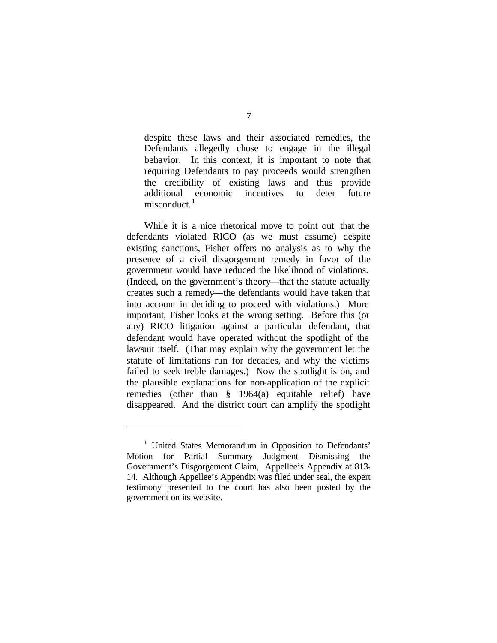despite these laws and their associated remedies, the Defendants allegedly chose to engage in the illegal behavior. In this context, it is important to note that requiring Defendants to pay proceeds would strengthen the credibility of existing laws and thus provide additional economic incentives to deter future misconduct.<sup>1</sup>

While it is a nice rhetorical move to point out that the defendants violated RICO (as we must assume) despite existing sanctions, Fisher offers no analysis as to why the presence of a civil disgorgement remedy in favor of the government would have reduced the likelihood of violations. (Indeed, on the government's theory—that the statute actually creates such a remedy—the defendants would have taken that into account in deciding to proceed with violations.) More important, Fisher looks at the wrong setting. Before this (or any) RICO litigation against a particular defendant, that defendant would have operated without the spotlight of the lawsuit itself. (That may explain why the government let the statute of limitations run for decades, and why the victims failed to seek treble damages.) Now the spotlight is on, and the plausible explanations for non-application of the explicit remedies (other than § 1964(a) equitable relief) have disappeared. And the district court can amplify the spotlight

i

<sup>&</sup>lt;sup>1</sup> United States Memorandum in Opposition to Defendants' Motion for Partial Summary Judgment Dismissing the Government's Disgorgement Claim, Appellee's Appendix at 813- 14. Although Appellee's Appendix was filed under seal, the expert testimony presented to the court has also been posted by the government on its website.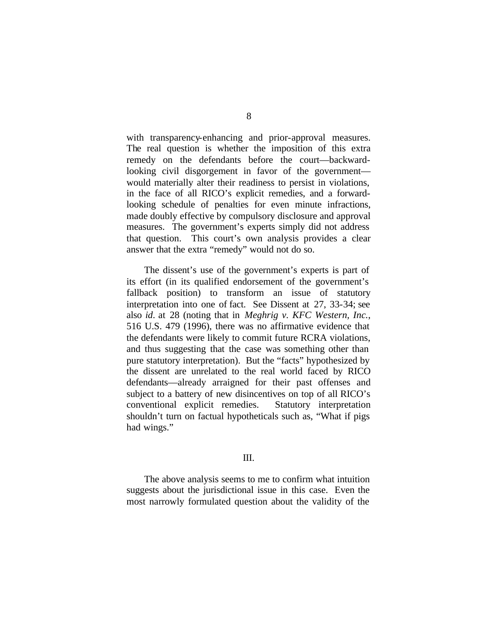with transparency-enhancing and prior-approval measures. The real question is whether the imposition of this extra remedy on the defendants before the court—backwardlooking civil disgorgement in favor of the government would materially alter their readiness to persist in violations, in the face of all RICO's explicit remedies, and a forwardlooking schedule of penalties for even minute infractions, made doubly effective by compulsory disclosure and approval measures. The government's experts simply did not address that question. This court's own analysis provides a clear answer that the extra "remedy" would not do so.

The dissent's use of the government's experts is part of its effort (in its qualified endorsement of the government's fallback position) to transform an issue of statutory interpretation into one of fact. See Dissent at 27, 33-34; see also *id*. at 28 (noting that in *Meghrig v. KFC Western, Inc.*, 516 U.S. 479 (1996), there was no affirmative evidence that the defendants were likely to commit future RCRA violations, and thus suggesting that the case was something other than pure statutory interpretation). But the "facts" hypothesized by the dissent are unrelated to the real world faced by RICO defendants—already arraigned for their past offenses and subject to a battery of new disincentives on top of all RICO's conventional explicit remedies. Statutory interpretation shouldn't turn on factual hypotheticals such as, "What if pigs had wings."

# III.

The above analysis seems to me to confirm what intuition suggests about the jurisdictional issue in this case. Even the most narrowly formulated question about the validity of the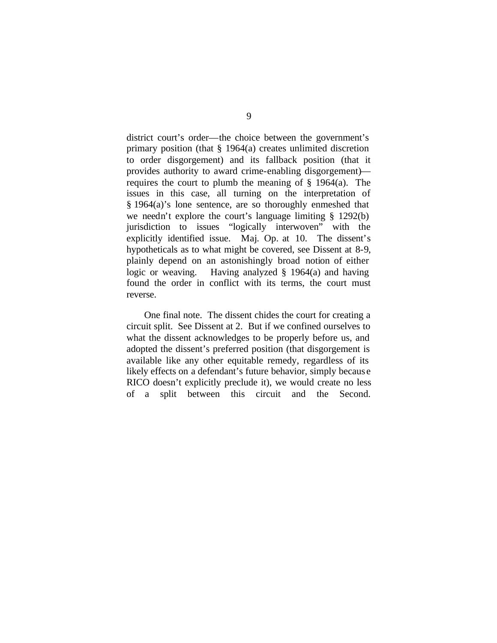district court's order—the choice between the government's primary position (that § 1964(a) creates unlimited discretion to order disgorgement) and its fallback position (that it provides authority to award crime-enabling disgorgement) requires the court to plumb the meaning of  $\S$  1964(a). The issues in this case, all turning on the interpretation of § 1964(a)'s lone sentence, are so thoroughly enmeshed that we needn't explore the court's language limiting § 1292(b) jurisdiction to issues "logically interwoven" with the explicitly identified issue. Maj. Op. at 10. The dissent's hypotheticals as to what might be covered, see Dissent at 8-9, plainly depend on an astonishingly broad notion of either logic or weaving. Having analyzed § 1964(a) and having found the order in conflict with its terms, the court must reverse.

One final note. The dissent chides the court for creating a circuit split. See Dissent at 2. But if we confined ourselves to what the dissent acknowledges to be properly before us, and adopted the dissent's preferred position (that disgorgement is available like any other equitable remedy, regardless of its likely effects on a defendant's future behavior, simply becaus e RICO doesn't explicitly preclude it), we would create no less of a split between this circuit and the Second.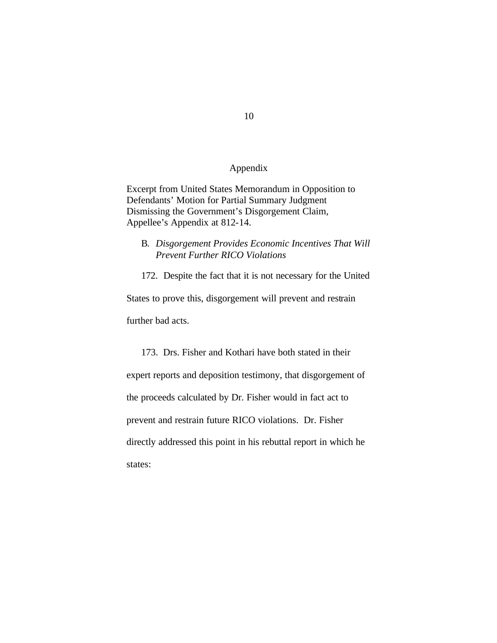# Appendix

Excerpt from United States Memorandum in Opposition to Defendants' Motion for Partial Summary Judgment Dismissing the Government's Disgorgement Claim, Appellee's Appendix at 812-14.

B. *Disgorgement Provides Economic Incentives That Will Prevent Further RICO Violations*

172. Despite the fact that it is not necessary for the United

States to prove this, disgorgement will prevent and restrain further bad acts.

173. Drs. Fisher and Kothari have both stated in their expert reports and deposition testimony, that disgorgement of the proceeds calculated by Dr. Fisher would in fact act to prevent and restrain future RICO violations. Dr. Fisher directly addressed this point in his rebuttal report in which he states:

10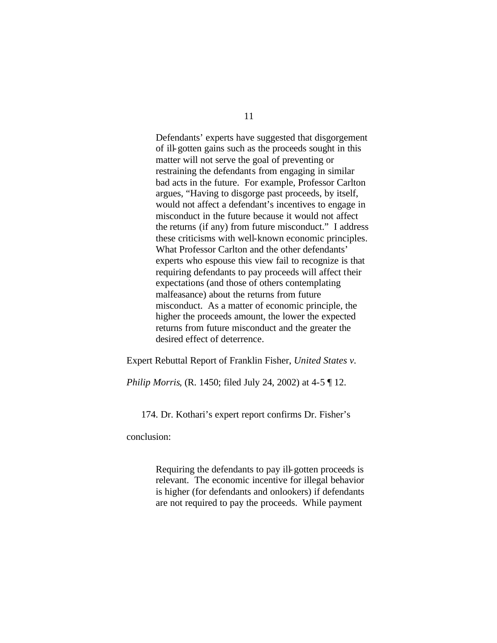Defendants' experts have suggested that disgorgement of ill-gotten gains such as the proceeds sought in this matter will not serve the goal of preventing or restraining the defendants from engaging in similar bad acts in the future. For example, Professor Carlton argues, "Having to disgorge past proceeds, by itself, would not affect a defendant's incentives to engage in misconduct in the future because it would not affect the returns (if any) from future misconduct." I address these criticisms with well-known economic principles. What Professor Carlton and the other defendants' experts who espouse this view fail to recognize is that requiring defendants to pay proceeds will affect their expectations (and those of others contemplating malfeasance) about the returns from future misconduct. As a matter of economic principle, the higher the proceeds amount, the lower the expected returns from future misconduct and the greater the desired effect of deterrence.

Expert Rebuttal Report of Franklin Fisher, *United States v.* 

*Philip Morris*, (R. 1450; filed July 24, 2002) at 4-5 ¶ 12.

174. Dr. Kothari's expert report confirms Dr. Fisher's

conclusion:

Requiring the defendants to pay ill-gotten proceeds is relevant. The economic incentive for illegal behavior is higher (for defendants and onlookers) if defendants are not required to pay the proceeds. While payment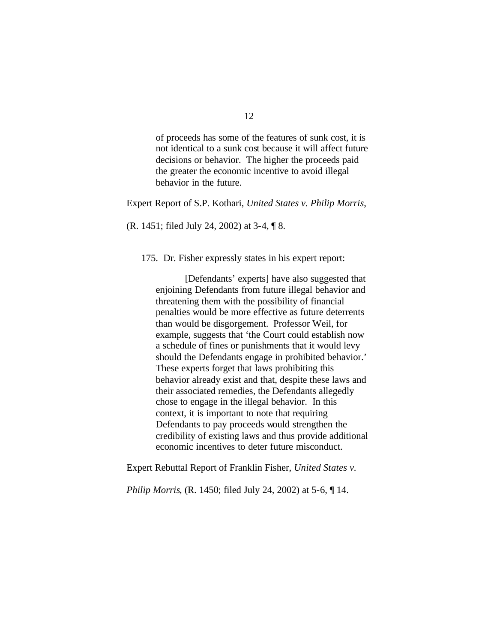of proceeds has some of the features of sunk cost, it is not identical to a sunk cost because it will affect future decisions or behavior. The higher the proceeds paid the greater the economic incentive to avoid illegal behavior in the future.

Expert Report of S.P. Kothari, *United States v. Philip Morris*,

(R. 1451; filed July 24, 2002) at 3-4, ¶ 8.

175. Dr. Fisher expressly states in his expert report:

[Defendants' experts] have also suggested that enjoining Defendants from future illegal behavior and threatening them with the possibility of financial penalties would be more effective as future deterrents than would be disgorgement. Professor Weil, for example, suggests that 'the Court could establish now a schedule of fines or punishments that it would levy should the Defendants engage in prohibited behavior.' These experts forget that laws prohibiting this behavior already exist and that, despite these laws and their associated remedies, the Defendants allegedly chose to engage in the illegal behavior. In this context, it is important to note that requiring Defendants to pay proceeds would strengthen the credibility of existing laws and thus provide additional economic incentives to deter future misconduct.

Expert Rebuttal Report of Franklin Fisher, *United States v.* 

*Philip Morris*, (R. 1450; filed July 24, 2002) at 5-6,  $\P$  14.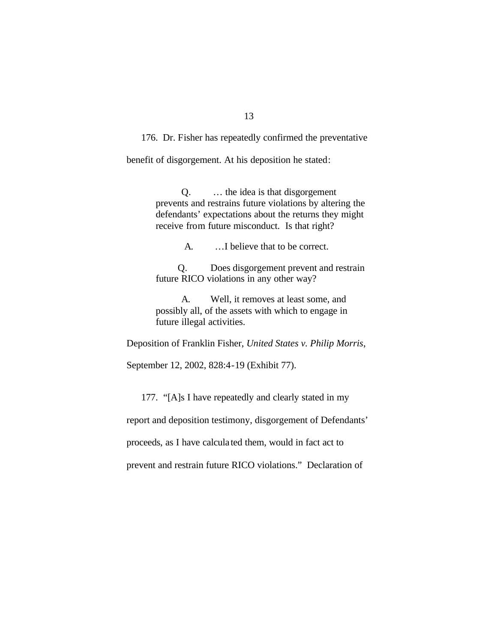176. Dr. Fisher has repeatedly confirmed the preventative

benefit of disgorgement. At his deposition he stated:

Q. … the idea is that disgorgement prevents and restrains future violations by altering the defendants' expectations about the returns they might receive from future misconduct. Is that right?

A. …I believe that to be correct.

Q. Does disgorgement prevent and restrain future RICO violations in any other way?

A. Well, it removes at least some, and possibly all, of the assets with which to engage in future illegal activities.

Deposition of Franklin Fisher, *United States v. Philip Morris*,

September 12, 2002, 828:4-19 (Exhibit 77).

177. "[A]s I have repeatedly and clearly stated in my

report and deposition testimony, disgorgement of Defendants'

proceeds, as I have calcula ted them, would in fact act to

prevent and restrain future RICO violations." Declaration of

# 13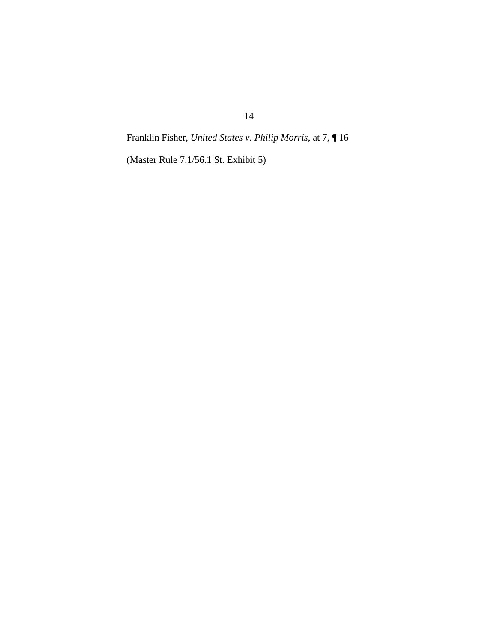Franklin Fisher, *United States v. Philip Morris*, at 7, ¶ 16

(Master Rule 7.1/56.1 St. Exhibit 5)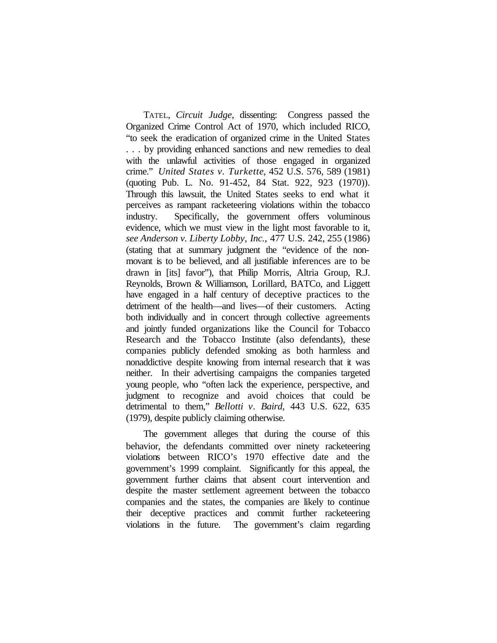TATEL, *Circuit Judge*, dissenting: Congress passed the Organized Crime Control Act of 1970, which included RICO, "to seek the eradication of organized crime in the United States . . . by providing enhanced sanctions and new remedies to deal with the unlawful activities of those engaged in organized crime." *United States v. Turkette*, 452 U.S. 576, 589 (1981) (quoting Pub. L. No. 91-452, 84 Stat. 922, 923 (1970)). Through this lawsuit, the United States seeks to end what it perceives as rampant racketeering violations within the tobacco industry. Specifically, the government offers voluminous evidence, which we must view in the light most favorable to it, *see Anderson v. Liberty Lobby, Inc.*, 477 U.S. 242, 255 (1986) (stating that at summary judgment the "evidence of the nonmovant is to be believed, and all justifiable inferences are to be drawn in [its] favor"), that Philip Morris, Altria Group, R.J. Reynolds, Brown & Williamson, Lorillard, BATCo, and Liggett have engaged in a half century of deceptive practices to the detriment of the health—and lives—of their customers. Acting both individually and in concert through collective agreements and jointly funded organizations like the Council for Tobacco Research and the Tobacco Institute (also defendants), these companies publicly defended smoking as both harmless and nonaddictive despite knowing from internal research that it was neither. In their advertising campaigns the companies targeted young people, who "often lack the experience, perspective, and judgment to recognize and avoid choices that could be detrimental to them," *Bellotti v. Baird*, 443 U.S. 622, 635 (1979), despite publicly claiming otherwise.

The government alleges that during the course of this behavior, the defendants committed over ninety racketeering violations between RICO's 1970 effective date and the government's 1999 complaint. Significantly for this appeal, the government further claims that absent court intervention and despite the master settlement agreement between the tobacco companies and the states, the companies are likely to continue their deceptive practices and commit further racketeering violations in the future. The government's claim regarding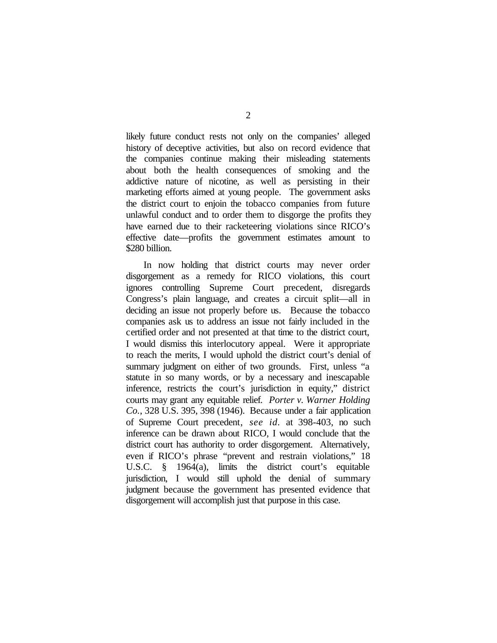likely future conduct rests not only on the companies' alleged history of deceptive activities, but also on record evidence that the companies continue making their misleading statements about both the health consequences of smoking and the addictive nature of nicotine, as well as persisting in their marketing efforts aimed at young people. The government asks the district court to enjoin the tobacco companies from future unlawful conduct and to order them to disgorge the profits they have earned due to their racketeering violations since RICO's effective date—profits the government estimates amount to \$280 billion.

In now holding that district courts may never order disgorgement as a remedy for RICO violations, this court ignores controlling Supreme Court precedent, disregards Congress's plain language, and creates a circuit split—all in deciding an issue not properly before us.Because the tobacco companies ask us to address an issue not fairly included in the certified order and not presented at that time to the district court, I would dismiss this interlocutory appeal. Were it appropriate to reach the merits, I would uphold the district court's denial of summary judgment on either of two grounds. First, unless "a statute in so many words, or by a necessary and inescapable inference, restricts the court's jurisdiction in equity," district courts may grant any equitable relief. *Porter v. Warner Holding Co.*, 328 U.S. 395, 398 (1946). Because under a fair application of Supreme Court precedent, *see id.* at 398-403, no such inference can be drawn about RICO, I would conclude that the district court has authority to order disgorgement. Alternatively, even if RICO's phrase "prevent and restrain violations," 18 U.S.C. § 1964(a), limits the district court's equitable jurisdiction, I would still uphold the denial of summary judgment because the government has presented evidence that disgorgement will accomplish just that purpose in this case.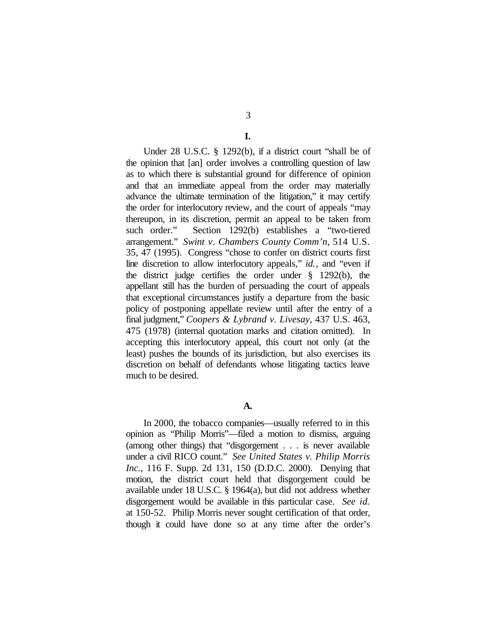#### **I.**

Under 28 U.S.C. § 1292(b), if a district court "shall be of the opinion that [an] order involves a controlling question of law as to which there is substantial ground for difference of opinion and that an immediate appeal from the order may materially advance the ultimate termination of the litigation," it may certify the order for interlocutory review, and the court of appeals "may thereupon, in its discretion, permit an appeal to be taken from such order." Section 1292(b) establishes a "two-tiered arrangement." *Swint v. Chambers County Comm'n*, 514 U.S. 35, 47 (1995). Congress "chose to confer on district courts first line discretion to allow interlocutory appeals," *id.*, and "even if the district judge certifies the order under § 1292(b), the appellant still has the burden of persuading the court of appeals that exceptional circumstances justify a departure from the basic policy of postponing appellate review until after the entry of a final judgment," *Coopers & Lybrand v. Livesay*, 437 U.S. 463, 475 (1978) (internal quotation marks and citation omitted). In accepting this interlocutory appeal, this court not only (at the least) pushes the bounds of its jurisdiction, but also exercises its discretion on behalf of defendants whose litigating tactics leave much to be desired.

### **A.**

In 2000, the tobacco companies—usually referred to in this opinion as "Philip Morris"—filed a motion to dismiss, arguing (among other things) that "disgorgement . . . is never available under a civil RICO count." *See United States v. Philip Morris Inc.*, 116 F. Supp. 2d 131, 150 (D.D.C. 2000). Denying that motion, the district court held that disgorgement could be available under 18 U.S.C. § 1964(a), but did not address whether disgorgement would be available in this particular case. *See id.* at 150-52. Philip Morris never sought certification of that order, though it could have done so at any time after the order's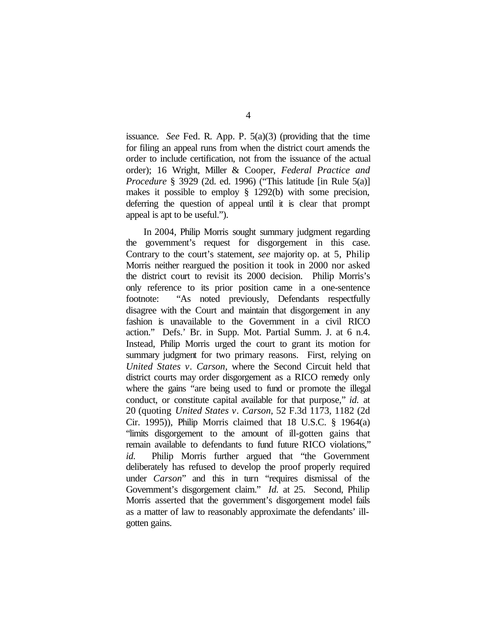issuance. *See* Fed. R. App. P. 5(a)(3) (providing that the time for filing an appeal runs from when the district court amends the order to include certification, not from the issuance of the actual order); 16 Wright, Miller & Cooper, *Federal Practice and Procedure* § 3929 (2d. ed. 1996) ("This latitude [in Rule 5(a)] makes it possible to employ § 1292(b) with some precision, deferring the question of appeal until it is clear that prompt appeal is apt to be useful.").

In 2004, Philip Morris sought summary judgment regarding the government's request for disgorgement in this case. Contrary to the court's statement, *see* majority op. at 5, Philip Morris neither reargued the position it took in 2000 nor asked the district court to revisit its 2000 decision. Philip Morris's only reference to its prior position came in a one-sentence footnote: "As noted previously, Defendants respectfully disagree with the Court and maintain that disgorgement in any fashion is unavailable to the Government in a civil RICO action." Defs.' Br. in Supp. Mot. Partial Summ. J. at 6 n.4. Instead, Philip Morris urged the court to grant its motion for summary judgment for two primary reasons. First, relying on *United States v. Carson*, where the Second Circuit held that district courts may order disgorgement as a RICO remedy only where the gains "are being used to fund or promote the illegal conduct, or constitute capital available for that purpose," *id.* at 20 (quoting *United States v. Carson*, 52 F.3d 1173, 1182 (2d Cir. 1995)), Philip Morris claimed that 18 U.S.C. § 1964(a) "limits disgorgement to the amount of ill-gotten gains that remain available to defendants to fund future RICO violations," *id.* Philip Morris further argued that "the Government deliberately has refused to develop the proof properly required under *Carson*" and this in turn "requires dismissal of the Government's disgorgement claim." *Id.* at 25. Second, Philip Morris asserted that the government's disgorgement model fails as a matter of law to reasonably approximate the defendants' illgotten gains.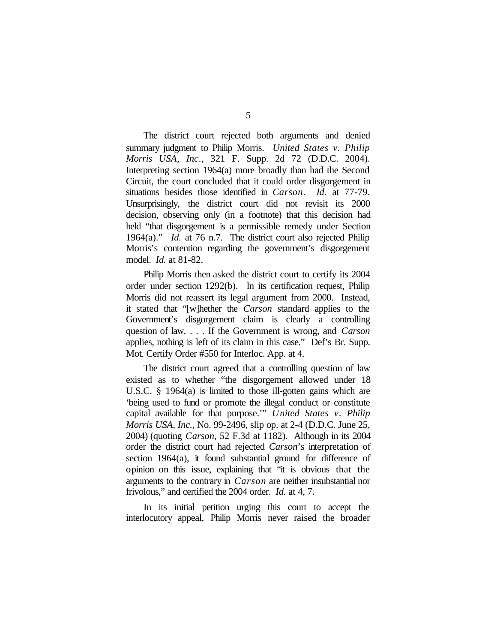The district court rejected both arguments and denied summary judgment to Philip Morris. *United States v. Philip Morris USA, Inc.*, 321 F. Supp. 2d 72 (D.D.C. 2004). Interpreting section 1964(a) more broadly than had the Second Circuit, the court concluded that it could order disgorgement in situations besides those identified in *Carson*. *Id.* at 77-79. Unsurprisingly, the district court did not revisit its 2000 decision, observing only (in a footnote) that this decision had held "that disgorgement is a permissible remedy under Section 1964(a)." *Id.* at 76 n.7. The district court also rejected Philip Morris's contention regarding the government's disgorgement model. *Id.* at 81-82.

Philip Morris then asked the district court to certify its 2004 order under section 1292(b). In its certification request, Philip Morris did not reassert its legal argument from 2000. Instead, it stated that "[w]hether the *Carson* standard applies to the Government's disgorgement claim is clearly a controlling question of law. . . . If the Government is wrong, and *Carson* applies, nothing is left of its claim in this case." Def's Br. Supp. Mot. Certify Order #550 for Interloc. App. at 4.

The district court agreed that a controlling question of law existed as to whether "the disgorgement allowed under 18 U.S.C. § 1964(a) is limited to those ill-gotten gains which are 'being used to fund or promote the illegal conduct or constitute capital available for that purpose.'" *United States v. Philip Morris USA, Inc.*, No. 99-2496, slip op. at 2-4 (D.D.C. June 25, 2004) (quoting *Carson*, 52 F.3d at 1182). Although in its 2004 order the district court had rejected *Carson*'s interpretation of section 1964(a), it found substantial ground for difference of opinion on this issue, explaining that "it is obvious that the arguments to the contrary in *Carson* are neither insubstantial nor frivolous," and certified the 2004 order. *Id.* at 4, 7.

In its initial petition urging this court to accept the interlocutory appeal, Philip Morris never raised the broader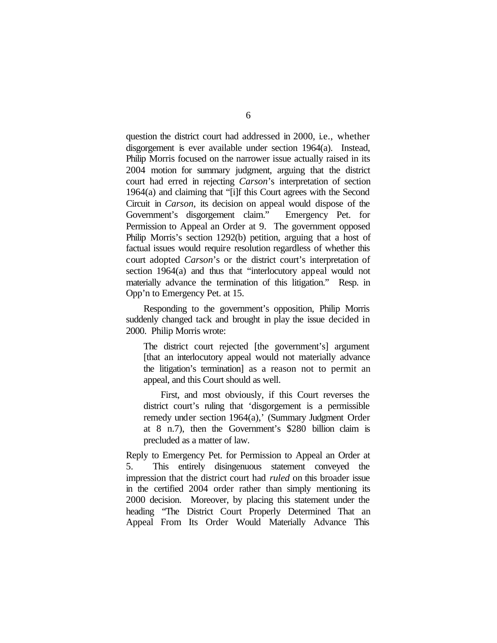question the district court had addressed in 2000, i.e., whether disgorgement is ever available under section 1964(a). Instead, Philip Morris focused on the narrower issue actually raised in its 2004 motion for summary judgment, arguing that the district court had erred in rejecting *Carson*'s interpretation of section 1964(a) and claiming that "[i]f this Court agrees with the Second Circuit in *Carson*, its decision on appeal would dispose of the Government's disgorgement claim." Emergency Pet. for Permission to Appeal an Order at 9. The government opposed Philip Morris's section 1292(b) petition, arguing that a host of factual issues would require resolution regardless of whether this court adopted *Carson*'s or the district court's interpretation of section 1964(a) and thus that "interlocutory appeal would not materially advance the termination of this litigation." Resp. in Opp'n to Emergency Pet. at 15.

Responding to the government's opposition, Philip Morris suddenly changed tack and brought in play the issue decided in 2000. Philip Morris wrote:

The district court rejected [the government's] argument [that an interlocutory appeal would not materially advance the litigation's termination] as a reason not to permit an appeal, and this Court should as well.

First, and most obviously, if this Court reverses the district court's ruling that 'disgorgement is a permissible remedy under section 1964(a),' (Summary Judgment Order at 8 n.7), then the Government's \$280 billion claim is precluded as a matter of law.

Reply to Emergency Pet. for Permission to Appeal an Order at 5. This entirely disingenuous statement conveyed the impression that the district court had *ruled* on this broader issue in the certified 2004 order rather than simply mentioning its 2000 decision. Moreover, by placing this statement under the heading "The District Court Properly Determined That an Appeal From Its Order Would Materially Advance This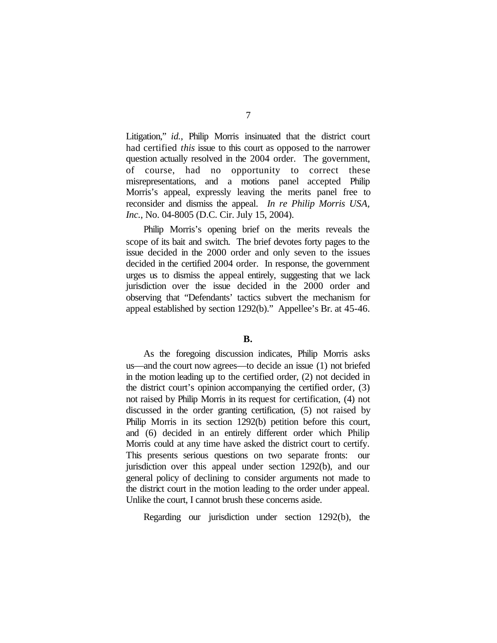Litigation," *id.*, Philip Morris insinuated that the district court had certified *this* issue to this court as opposed to the narrower question actually resolved in the 2004 order. The government, of course, had no opportunity to correct these misrepresentations, and a motions panel accepted Philip Morris's appeal, expressly leaving the merits panel free to reconsider and dismiss the appeal. *In re Philip Morris USA, Inc.*, No. 04-8005 (D.C. Cir. July 15, 2004).

Philip Morris's opening brief on the merits reveals the scope of its bait and switch. The brief devotes forty pages to the issue decided in the 2000 order and only seven to the issues decided in the certified 2004 order. In response, the government urges us to dismiss the appeal entirely, suggesting that we lack jurisdiction over the issue decided in the 2000 order and observing that "Defendants' tactics subvert the mechanism for appeal established by section 1292(b)." Appellee's Br. at 45-46.

#### **B.**

As the foregoing discussion indicates, Philip Morris asks us—and the court now agrees—to decide an issue (1) not briefed in the motion leading up to the certified order, (2) not decided in the district court's opinion accompanying the certified order, (3) not raised by Philip Morris in its request for certification, (4) not discussed in the order granting certification, (5) not raised by Philip Morris in its section 1292(b) petition before this court, and (6) decided in an entirely different order which Philip Morris could at any time have asked the district court to certify. This presents serious questions on two separate fronts: our jurisdiction over this appeal under section 1292(b), and our general policy of declining to consider arguments not made to the district court in the motion leading to the order under appeal. Unlike the court, I cannot brush these concerns aside.

Regarding our jurisdiction under section 1292(b), the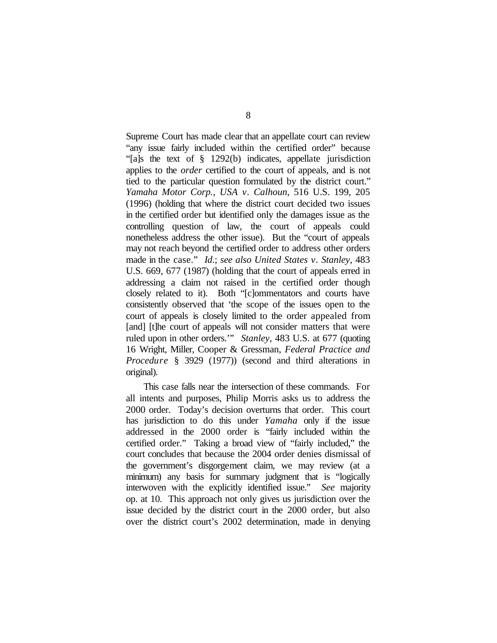Supreme Court has made clear that an appellate court can review "any issue fairly included within the certified order" because "[a]s the text of § 1292(b) indicates, appellate jurisdiction applies to the *order* certified to the court of appeals, and is not tied to the particular question formulated by the district court." *Yamaha Motor Corp., USA v. Calhoun*, 516 U.S. 199, 205 (1996) (holding that where the district court decided two issues in the certified order but identified only the damages issue as the controlling question of law, the court of appeals could nonetheless address the other issue). But the "court of appeals may not reach beyond the certified order to address other orders made in the case." *Id*.; *see also United States v. Stanley*, 483 U.S. 669, 677 (1987) (holding that the court of appeals erred in addressing a claim not raised in the certified order though closely related to it). Both "[c]ommentators and courts have consistently observed that 'the scope of the issues open to the court of appeals is closely limited to the order appealed from [and] [t]he court of appeals will not consider matters that were ruled upon in other orders.'" *Stanley*, 483 U.S. at 677 (quoting 16 Wright, Miller, Cooper & Gressman, *Federal Practice and Procedure* § 3929 (1977)) (second and third alterations in original).

This case falls near the intersection of these commands. For all intents and purposes, Philip Morris asks us to address the 2000 order. Today's decision overturns that order. This court has jurisdiction to do this under *Yamaha* only if the issue addressed in the 2000 order is "fairly included within the certified order." Taking a broad view of "fairly included," the court concludes that because the 2004 order denies dismissal of the government's disgorgement claim, we may review (at a minimum) any basis for summary judgment that is "logically interwoven with the explicitly identified issue." *See* majority op. at 10. This approach not only gives us jurisdiction over the issue decided by the district court in the 2000 order, but also over the district court's 2002 determination, made in denying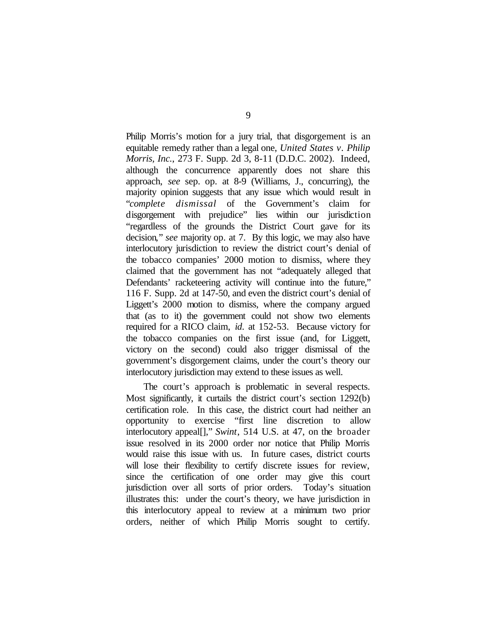Philip Morris's motion for a jury trial, that disgorgement is an equitable remedy rather than a legal one, *United States v. Philip Morris, Inc.*, 273 F. Supp. 2d 3, 8-11 (D.D.C. 2002). Indeed, although the concurrence apparently does not share this approach, *see* sep. op. at 8-9 (Williams, J., concurring), the majority opinion suggests that any issue which would result in "*complete dismissal* of the Government's claim for disgorgement with prejudice" lies within our jurisdiction "regardless of the grounds the District Court gave for its decision," *see* majority op. at 7. By this logic, we may also have interlocutory jurisdiction to review the district court's denial of the tobacco companies' 2000 motion to dismiss, where they claimed that the government has not "adequately alleged that Defendants' racketeering activity will continue into the future," 116 F. Supp. 2d at 147-50, and even the district court's denial of Liggett's 2000 motion to dismiss, where the company argued that (as to it) the government could not show two elements required for a RICO claim, *id.* at 152-53. Because victory for the tobacco companies on the first issue (and, for Liggett, victory on the second) could also trigger dismissal of the government's disgorgement claims, under the court's theory our interlocutory jurisdiction may extend to these issues as well.

The court's approach is problematic in several respects. Most significantly, it curtails the district court's section 1292(b) certification role. In this case, the district court had neither an opportunity to exercise "first line discretion to allow interlocutory appeal[]," *Swint*, 514 U.S. at 47, on the broader issue resolved in its 2000 order nor notice that Philip Morris would raise this issue with us. In future cases, district courts will lose their flexibility to certify discrete issues for review, since the certification of one order may give this court jurisdiction over all sorts of prior orders. Today's situation illustrates this: under the court's theory, we have jurisdiction in this interlocutory appeal to review at a minimum two prior orders, neither of which Philip Morris sought to certify.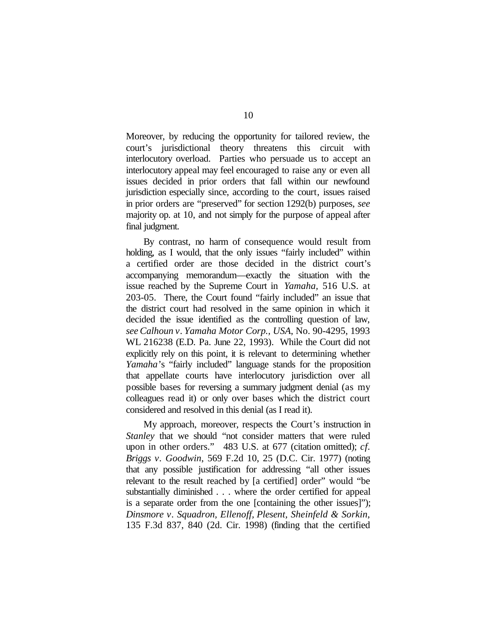Moreover, by reducing the opportunity for tailored review, the court's jurisdictional theory threatens this circuit with interlocutory overload. Parties who persuade us to accept an interlocutory appeal may feel encouraged to raise any or even all issues decided in prior orders that fall within our newfound jurisdiction especially since, according to the court, issues raised in prior orders are "preserved" for section 1292(b) purposes, *see* majority op. at 10, and not simply for the purpose of appeal after final judgment.

By contrast, no harm of consequence would result from holding, as I would, that the only issues "fairly included" within a certified order are those decided in the district court's accompanying memorandum—exactly the situation with the issue reached by the Supreme Court in *Yamaha,* 516 U.S. at 203-05. There, the Court found "fairly included" an issue that the district court had resolved in the same opinion in which it decided the issue identified as the controlling question of law, *see Calhoun v. Yamaha Motor Corp., USA*, No. 90-4295, 1993 WL 216238 (E.D. Pa. June 22, 1993). While the Court did not explicitly rely on this point, it is relevant to determining whether *Yamaha*'s "fairly included" language stands for the proposition that appellate courts have interlocutory jurisdiction over all possible bases for reversing a summary judgment denial (as my colleagues read it) or only over bases which the district court considered and resolved in this denial (as I read it).

My approach, moreover, respects the Court's instruction in *Stanley* that we should "not consider matters that were ruled upon in other orders." 483 U.S. at 677 (citation omitted); *cf. Briggs v. Goodwin*, 569 F.2d 10, 25 (D.C. Cir. 1977) (noting that any possible justification for addressing "all other issues relevant to the result reached by [a certified] order" would "be substantially diminished . . . where the order certified for appeal is a separate order from the one [containing the other issues]"); *Dinsmore v. Squadron, Ellenoff, Plesent, Sheinfeld & Sorkin*, 135 F.3d 837, 840 (2d. Cir. 1998) (finding that the certified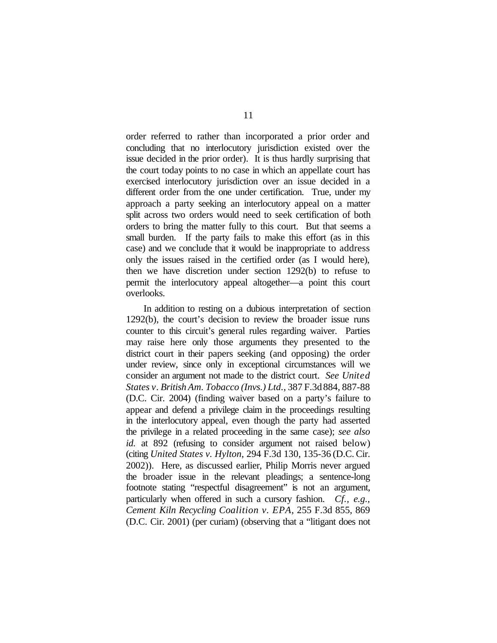order referred to rather than incorporated a prior order and concluding that no interlocutory jurisdiction existed over the issue decided in the prior order). It is thus hardly surprising that the court today points to no case in which an appellate court has exercised interlocutory jurisdiction over an issue decided in a different order from the one under certification. True, under my approach a party seeking an interlocutory appeal on a matter split across two orders would need to seek certification of both orders to bring the matter fully to this court. But that seems a small burden. If the party fails to make this effort (as in this case) and we conclude that it would be inappropriate to address only the issues raised in the certified order (as I would here), then we have discretion under section 1292(b) to refuse to permit the interlocutory appeal altogether—a point this court overlooks.

In addition to resting on a dubious interpretation of section 1292(b), the court's decision to review the broader issue runs counter to this circuit's general rules regarding waiver. Parties may raise here only those arguments they presented to the district court in their papers seeking (and opposing) the order under review, since only in exceptional circumstances will we consider an argument not made to the district court. *See United States v. British Am. Tobacco (Invs.) Ltd.*, 387 F.3d 884, 887-88 (D.C. Cir. 2004) (finding waiver based on a party's failure to appear and defend a privilege claim in the proceedings resulting in the interlocutory appeal, even though the party had asserted the privilege in a related proceeding in the same case); *see also id.* at 892 (refusing to consider argument not raised below) (citing *United States v. Hylton*, 294 F.3d 130, 135-36 (D.C. Cir. 2002)). Here, as discussed earlier, Philip Morris never argued the broader issue in the relevant pleadings; a sentence-long footnote stating "respectful disagreement" is not an argument, particularly when offered in such a cursory fashion. *Cf., e.g., Cement Kiln Recycling Coalition v. EPA*, 255 F.3d 855, 869 (D.C. Cir. 2001) (per curiam) (observing that a "litigant does not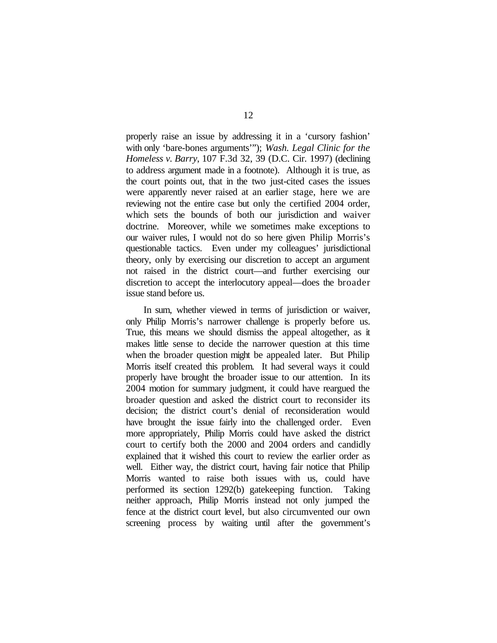properly raise an issue by addressing it in a 'cursory fashion' with only 'bare-bones arguments'"); *Wash. Legal Clinic for the Homeless v. Barry*, 107 F.3d 32, 39 (D.C. Cir. 1997) (declining to address argument made in a footnote). Although it is true, as the court points out, that in the two just-cited cases the issues were apparently never raised at an earlier stage, here we are reviewing not the entire case but only the certified 2004 order, which sets the bounds of both our jurisdiction and waiver doctrine. Moreover, while we sometimes make exceptions to our waiver rules, I would not do so here given Philip Morris's questionable tactics. Even under my colleagues' jurisdictional theory, only by exercising our discretion to accept an argument not raised in the district court—and further exercising our discretion to accept the interlocutory appeal—does the broader issue stand before us.

In sum, whether viewed in terms of jurisdiction or waiver, only Philip Morris's narrower challenge is properly before us. True, this means we should dismiss the appeal altogether, as it makes little sense to decide the narrower question at this time when the broader question might be appealed later. But Philip Morris itself created this problem. It had several ways it could properly have brought the broader issue to our attention. In its 2004 motion for summary judgment, it could have reargued the broader question and asked the district court to reconsider its decision; the district court's denial of reconsideration would have brought the issue fairly into the challenged order. Even more appropriately, Philip Morris could have asked the district court to certify both the 2000 and 2004 orders and candidly explained that it wished this court to review the earlier order as well. Either way, the district court, having fair notice that Philip Morris wanted to raise both issues with us, could have performed its section 1292(b) gatekeeping function. Taking neither approach, Philip Morris instead not only jumped the fence at the district court level, but also circumvented our own screening process by waiting until after the government's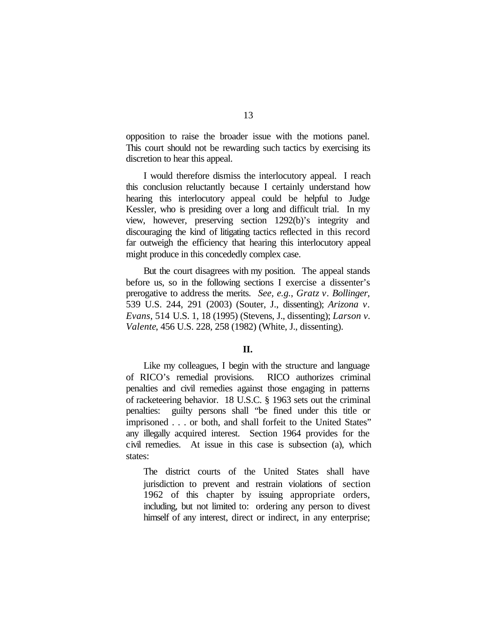opposition to raise the broader issue with the motions panel. This court should not be rewarding such tactics by exercising its discretion to hear this appeal.

I would therefore dismiss the interlocutory appeal. I reach this conclusion reluctantly because I certainly understand how hearing this interlocutory appeal could be helpful to Judge Kessler, who is presiding over a long and difficult trial. In my view, however, preserving section 1292(b)'s integrity and discouraging the kind of litigating tactics reflected in this record far outweigh the efficiency that hearing this interlocutory appeal might produce in this concededly complex case.

But the court disagrees with my position. The appeal stands before us, so in the following sections I exercise a dissenter's prerogative to address the merits. *See, e.g.*, *Gratz v. Bollinger*, 539 U.S. 244, 291 (2003) (Souter, J., dissenting); *Arizona v. Evans*, 514 U.S. 1, 18 (1995) (Stevens, J., dissenting); *Larson v. Valente*, 456 U.S. 228, 258 (1982) (White, J., dissenting).

# **II.**

Like my colleagues, I begin with the structure and language of RICO's remedial provisions. RICO authorizes criminal penalties and civil remedies against those engaging in patterns of racketeering behavior. 18 U.S.C. § 1963 sets out the criminal penalties: guilty persons shall "be fined under this title or imprisoned . . . or both, and shall forfeit to the United States" any illegally acquired interest. Section 1964 provides for the civil remedies. At issue in this case is subsection (a), which states:

The district courts of the United States shall have jurisdiction to prevent and restrain violations of section 1962 of this chapter by issuing appropriate orders, including, but not limited to: ordering any person to divest himself of any interest, direct or indirect, in any enterprise;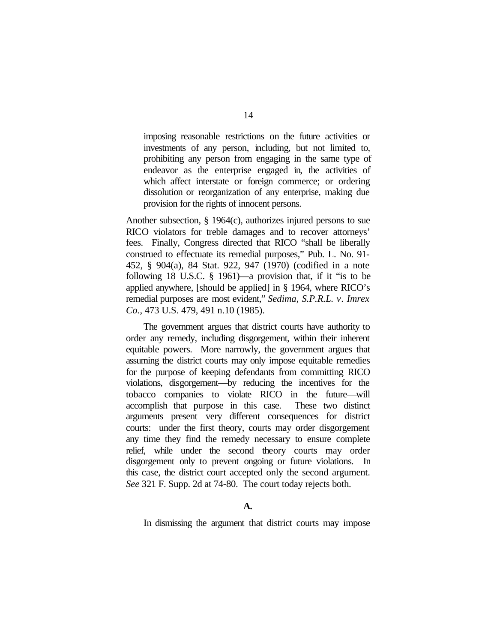imposing reasonable restrictions on the future activities or investments of any person, including, but not limited to, prohibiting any person from engaging in the same type of endeavor as the enterprise engaged in, the activities of which affect interstate or foreign commerce; or ordering dissolution or reorganization of any enterprise, making due provision for the rights of innocent persons.

Another subsection, § 1964(c), authorizes injured persons to sue RICO violators for treble damages and to recover attorneys' fees. Finally, Congress directed that RICO "shall be liberally construed to effectuate its remedial purposes," Pub. L. No. 91- 452, § 904(a), 84 Stat. 922, 947 (1970) (codified in a note following 18 U.S.C. § 1961)—a provision that, if it "is to be applied anywhere, [should be applied] in § 1964, where RICO's remedial purposes are most evident," *Sedima, S.P.R.L. v. Imrex Co.*, 473 U.S. 479, 491 n.10 (1985).

The government argues that district courts have authority to order any remedy, including disgorgement, within their inherent equitable powers. More narrowly, the government argues that assuming the district courts may only impose equitable remedies for the purpose of keeping defendants from committing RICO violations, disgorgement—by reducing the incentives for the tobacco companies to violate RICO in the future—will accomplish that purpose in this case. These two distinct arguments present very different consequences for district courts: under the first theory, courts may order disgorgement any time they find the remedy necessary to ensure complete relief, while under the second theory courts may order disgorgement only to prevent ongoing or future violations. In this case, the district court accepted only the second argument. *See* 321 F. Supp. 2d at 74-80. The court today rejects both.

### **A.**

In dismissing the argument that district courts may impose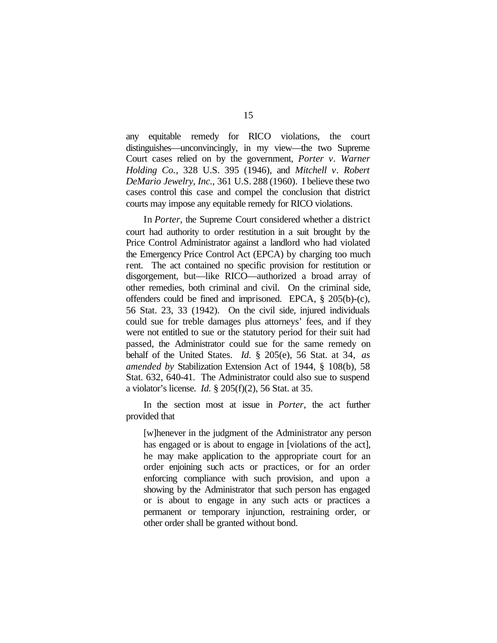any equitable remedy for RICO violations, the court distinguishes—unconvincingly, in my view—the two Supreme Court cases relied on by the government, *Porter v. Warner Holding Co.*, 328 U.S. 395 (1946), and *Mitchell v. Robert DeMario Jewelry, Inc.*, 361 U.S. 288 (1960). I believe these two cases control this case and compel the conclusion that district courts may impose any equitable remedy for RICO violations.

In *Porter*, the Supreme Court considered whether a district court had authority to order restitution in a suit brought by the Price Control Administrator against a landlord who had violated the Emergency Price Control Act (EPCA) by charging too much rent. The act contained no specific provision for restitution or disgorgement, but—like RICO—authorized a broad array of other remedies, both criminal and civil. On the criminal side, offenders could be fined and imprisoned. EPCA, § 205(b)-(c), 56 Stat. 23, 33 (1942). On the civil side, injured individuals could sue for treble damages plus attorneys' fees, and if they were not entitled to sue or the statutory period for their suit had passed, the Administrator could sue for the same remedy on behalf of the United States. *Id.* § 205(e), 56 Stat. at 34, *as amended by* Stabilization Extension Act of 1944, § 108(b), 58 Stat. 632, 640-41. The Administrator could also sue to suspend a violator's license. *Id.* § 205(f)(2), 56 Stat. at 35.

In the section most at issue in *Porter*, the act further provided that

[w]henever in the judgment of the Administrator any person has engaged or is about to engage in [violations of the act], he may make application to the appropriate court for an order enjoining such acts or practices, or for an order enforcing compliance with such provision, and upon a showing by the Administrator that such person has engaged or is about to engage in any such acts or practices a permanent or temporary injunction, restraining order, or other order shall be granted without bond.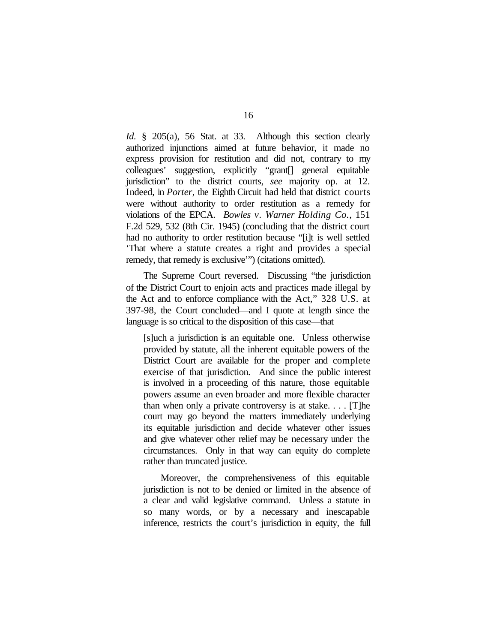*Id.* § 205(a), 56 Stat. at 33. Although this section clearly authorized injunctions aimed at future behavior, it made no express provision for restitution and did not, contrary to my colleagues' suggestion, explicitly "grant[] general equitable jurisdiction" to the district courts, *see* majority op. at 12. Indeed, in *Porter*, the Eighth Circuit had held that district courts were without authority to order restitution as a remedy for violations of the EPCA. *Bowles v. Warner Holding Co.*, 151 F.2d 529, 532 (8th Cir. 1945) (concluding that the district court had no authority to order restitution because "[i]t is well settled 'That where a statute creates a right and provides a special remedy, that remedy is exclusive'") (citations omitted).

The Supreme Court reversed. Discussing "the jurisdiction of the District Court to enjoin acts and practices made illegal by the Act and to enforce compliance with the Act," 328 U.S. at 397-98, the Court concluded—and I quote at length since the language is so critical to the disposition of this case—that

[s]uch a jurisdiction is an equitable one. Unless otherwise provided by statute, all the inherent equitable powers of the District Court are available for the proper and complete exercise of that jurisdiction. And since the public interest is involved in a proceeding of this nature, those equitable powers assume an even broader and more flexible character than when only a private controversy is at stake. . . . [T]he court may go beyond the matters immediately underlying its equitable jurisdiction and decide whatever other issues and give whatever other relief may be necessary under the circumstances. Only in that way can equity do complete rather than truncated justice.

Moreover, the comprehensiveness of this equitable jurisdiction is not to be denied or limited in the absence of a clear and valid legislative command. Unless a statute in so many words, or by a necessary and inescapable inference, restricts the court's jurisdiction in equity, the full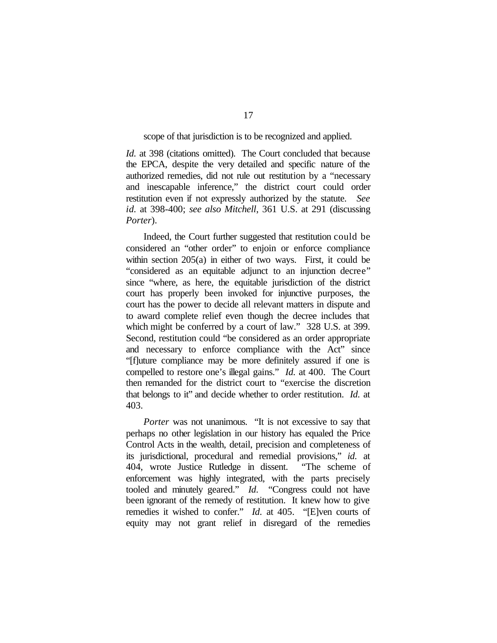#### scope of that jurisdiction is to be recognized and applied.

*Id.* at 398 (citations omitted). The Court concluded that because the EPCA, despite the very detailed and specific nature of the authorized remedies, did not rule out restitution by a "necessary and inescapable inference," the district court could order restitution even if not expressly authorized by the statute. *See id.* at 398-400; *see also Mitchell*, 361 U.S. at 291 (discussing *Porter*).

Indeed, the Court further suggested that restitution could be considered an "other order" to enjoin or enforce compliance within section 205(a) in either of two ways. First, it could be "considered as an equitable adjunct to an injunction decree" since "where, as here, the equitable jurisdiction of the district court has properly been invoked for injunctive purposes, the court has the power to decide all relevant matters in dispute and to award complete relief even though the decree includes that which might be conferred by a court of law." 328 U.S. at 399. Second, restitution could "be considered as an order appropriate and necessary to enforce compliance with the Act" since "[f]uture compliance may be more definitely assured if one is compelled to restore one's illegal gains." *Id.* at 400. The Court then remanded for the district court to "exercise the discretion that belongs to it" and decide whether to order restitution. *Id.* at 403.

*Porter* was not unanimous. "It is not excessive to say that perhaps no other legislation in our history has equaled the Price Control Acts in the wealth, detail, precision and completeness of its jurisdictional, procedural and remedial provisions," *id.* at 404, wrote Justice Rutledge in dissent. "The scheme of enforcement was highly integrated, with the parts precisely tooled and minutely geared." *Id.* "Congress could not have been ignorant of the remedy of restitution. It knew how to give remedies it wished to confer." *Id.* at 405. "[E]ven courts of equity may not grant relief in disregard of the remedies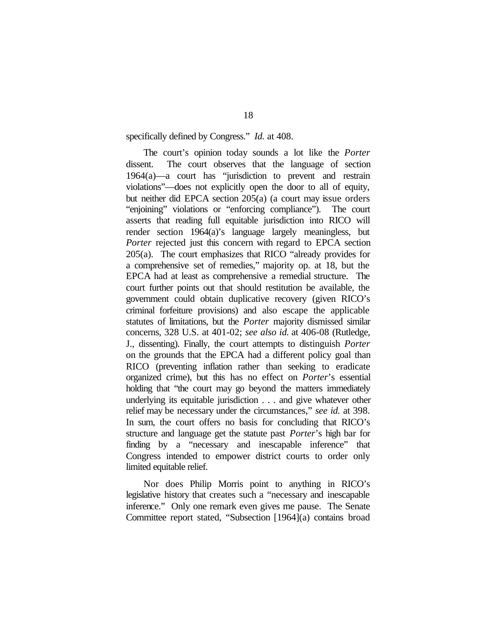specifically defined by Congress." *Id.* at 408.

The court's opinion today sounds a lot like the *Porter* dissent. The court observes that the language of section 1964(a)—a court has "jurisdiction to prevent and restrain violations"—does not explicitly open the door to all of equity, but neither did EPCA section 205(a) (a court may issue orders "enjoining" violations or "enforcing compliance"). The court asserts that reading full equitable jurisdiction into RICO will render section 1964(a)'s language largely meaningless, but *Porter* rejected just this concern with regard to EPCA section 205(a). The court emphasizes that RICO "already provides for a comprehensive set of remedies," majority op. at 18, but the EPCA had at least as comprehensive a remedial structure. The court further points out that should restitution be available, the government could obtain duplicative recovery (given RICO's criminal forfeiture provisions) and also escape the applicable statutes of limitations, but the *Porter* majority dismissed similar concerns, 328 U.S. at 401-02; *see also id.* at 406-08 (Rutledge, J., dissenting). Finally, the court attempts to distinguish *Porter* on the grounds that the EPCA had a different policy goal than RICO (preventing inflation rather than seeking to eradicate organized crime), but this has no effect on *Porter*'s essential holding that "the court may go beyond the matters immediately underlying its equitable jurisdiction . . . and give whatever other relief may be necessary under the circumstances," *see id.* at 398. In sum, the court offers no basis for concluding that RICO's structure and language get the statute past *Porter*'s high bar for finding by a "necessary and inescapable inference" that Congress intended to empower district courts to order only limited equitable relief.

Nor does Philip Morris point to anything in RICO's legislative history that creates such a "necessary and inescapable inference." Only one remark even gives me pause. The Senate Committee report stated, "Subsection [1964](a) contains broad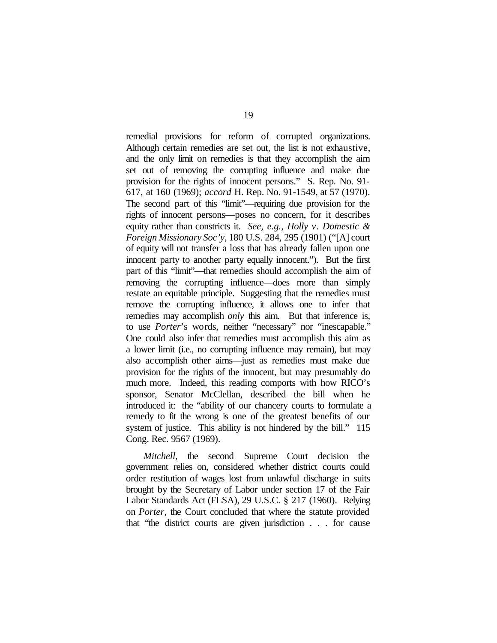remedial provisions for reform of corrupted organizations. Although certain remedies are set out, the list is not exhaustive, and the only limit on remedies is that they accomplish the aim set out of removing the corrupting influence and make due provision for the rights of innocent persons." S. Rep. No. 91- 617, at 160 (1969); *accord* H. Rep. No. 91-1549, at 57 (1970). The second part of this "limit"—requiring due provision for the rights of innocent persons—poses no concern, for it describes equity rather than constricts it. *See, e.g.*, *Holly v. Domestic & Foreign Missionary Soc'y*, 180 U.S. 284, 295 (1901) ("[A] court of equity will not transfer a loss that has already fallen upon one innocent party to another party equally innocent."). But the first part of this "limit"—that remedies should accomplish the aim of removing the corrupting influence—does more than simply restate an equitable principle. Suggesting that the remedies must remove the corrupting influence, it allows one to infer that remedies may accomplish *only* this aim. But that inference is, to use *Porter*'s words, neither "necessary" nor "inescapable." One could also infer that remedies must accomplish this aim as a lower limit (i.e., no corrupting influence may remain), but may also accomplish other aims—just as remedies must make due provision for the rights of the innocent, but may presumably do much more. Indeed, this reading comports with how RICO's sponsor, Senator McClellan, described the bill when he introduced it: the "ability of our chancery courts to formulate a remedy to fit the wrong is one of the greatest benefits of our system of justice. This ability is not hindered by the bill." 115 Cong. Rec. 9567 (1969).

*Mitchell*, the second Supreme Court decision the government relies on, considered whether district courts could order restitution of wages lost from unlawful discharge in suits brought by the Secretary of Labor under section 17 of the Fair Labor Standards Act (FLSA), 29 U.S.C. § 217 (1960). Relying on *Porter*, the Court concluded that where the statute provided that "the district courts are given jurisdiction . . . for cause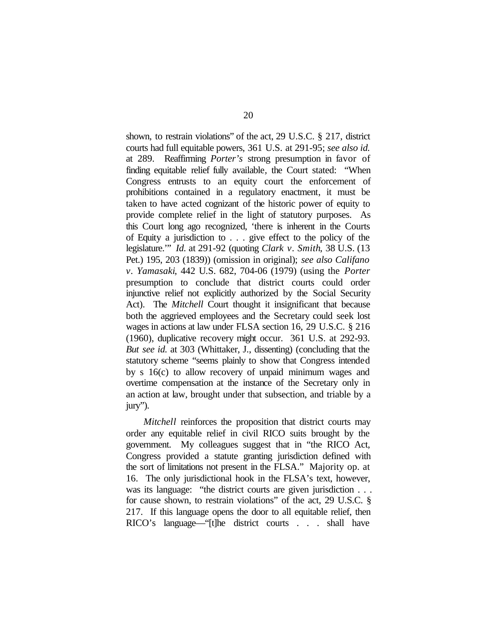shown, to restrain violations" of the act, 29 U.S.C. § 217, district courts had full equitable powers, 361 U.S. at 291-95; *see also id.* at 289. Reaffirming *Porter's* strong presumption in favor of finding equitable relief fully available*,* the Court stated: "When Congress entrusts to an equity court the enforcement of prohibitions contained in a regulatory enactment, it must be taken to have acted cognizant of the historic power of equity to provide complete relief in the light of statutory purposes. As this Court long ago recognized, 'there is inherent in the Courts of Equity a jurisdiction to . . . give effect to the policy of the legislature.'" *Id.* at 291-92 (quoting *Clark v. Smith*, 38 U.S. (13 Pet.) 195, 203 (1839)) (omission in original); *see also Califano v. Yamasaki*, 442 U.S. 682, 704-06 (1979) (using the *Porter* presumption to conclude that district courts could order injunctive relief not explicitly authorized by the Social Security Act). The *Mitchell* Court thought it insignificant that because both the aggrieved employees and the Secretary could seek lost wages in actions at law under FLSA section 16, 29 U.S.C. § 216 (1960), duplicative recovery might occur. 361 U.S. at 292-93. *But see id.* at 303 (Whittaker, J., dissenting) (concluding that the statutory scheme "seems plainly to show that Congress intended by s 16(c) to allow recovery of unpaid minimum wages and overtime compensation at the instance of the Secretary only in an action at law, brought under that subsection, and triable by a jury").

*Mitchell* reinforces the proposition that district courts may order any equitable relief in civil RICO suits brought by the government. My colleagues suggest that in "the RICO Act, Congress provided a statute granting jurisdiction defined with the sort of limitations not present in the FLSA." Majority op. at 16. The only jurisdictional hook in the FLSA's text, however, was its language: "the district courts are given jurisdiction . . . for cause shown, to restrain violations" of the act, 29 U.S.C. § 217. If this language opens the door to all equitable relief, then RICO's language—"[t]he district courts . . . shall have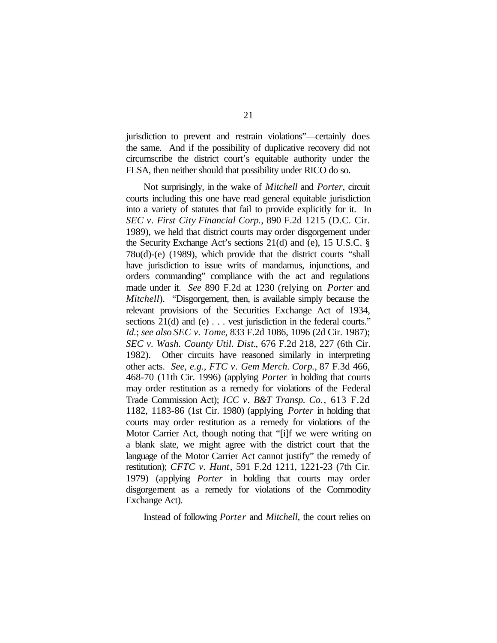jurisdiction to prevent and restrain violations"—certainly does the same. And if the possibility of duplicative recovery did not circumscribe the district court's equitable authority under the FLSA, then neither should that possibility under RICO do so.

Not surprisingly, in the wake of *Mitchell* and *Porter*, circuit courts including this one have read general equitable jurisdiction into a variety of statutes that fail to provide explicitly for it. In *SEC v. First City Financial Corp.*, 890 F.2d 1215 (D.C. Cir. 1989), we held that district courts may order disgorgement under the Security Exchange Act's sections 21(d) and (e), 15 U.S.C. § 78u(d)-(e) (1989), which provide that the district courts "shall have jurisdiction to issue writs of mandamus, injunctions, and orders commanding" compliance with the act and regulations made under it. *See* 890 F.2d at 1230 (relying on *Porter* and *Mitchell*). "Disgorgement, then, is available simply because the relevant provisions of the Securities Exchange Act of 1934, sections 21(d) and (e) . . . vest jurisdiction in the federal courts." *Id.*; *see also SEC v. Tome*, 833 F.2d 1086, 1096 (2d Cir. 1987); *SEC v. Wash. County Util. Dist.*, 676 F.2d 218, 227 (6th Cir. 1982). Other circuits have reasoned similarly in interpreting other acts. *See, e.g., FTC v. Gem Merch. Corp.*, 87 F.3d 466, 468-70 (11th Cir. 1996) (applying *Porter* in holding that courts may order restitution as a remedy for violations of the Federal Trade Commission Act); *ICC v. B&T Transp. Co.*, 613 F.2d 1182, 1183-86 (1st Cir. 1980) (applying *Porter* in holding that courts may order restitution as a remedy for violations of the Motor Carrier Act, though noting that "[i]f we were writing on a blank slate, we might agree with the district court that the language of the Motor Carrier Act cannot justify" the remedy of restitution); *CFTC v. Hunt*, 591 F.2d 1211, 1221-23 (7th Cir. 1979) (applying *Porter* in holding that courts may order disgorgement as a remedy for violations of the Commodity Exchange Act).

Instead of following *Porter* and *Mitchell*, the court relies on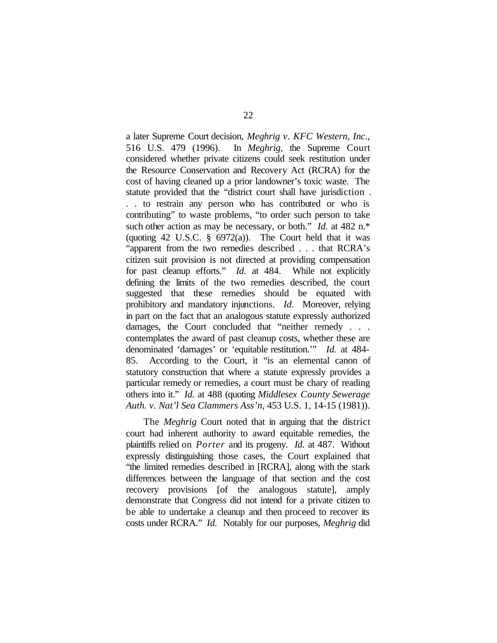a later Supreme Court decision, *Meghrig v. KFC Western, Inc.*, 516 U.S. 479 (1996). In *Meghrig*, the Supreme Court considered whether private citizens could seek restitution under the Resource Conservation and Recovery Act (RCRA) for the cost of having cleaned up a prior landowner's toxic waste. The statute provided that the "district court shall have jurisdiction . . . to restrain any person who has contributed or who is contributing" to waste problems, "to order such person to take such other action as may be necessary, or both." *Id.* at 482 n.\* (quoting 42 U.S.C.  $\S$  6972(a)). The Court held that it was "apparent from the two remedies described . . . that RCRA's citizen suit provision is not directed at providing compensation for past cleanup efforts." *Id.* at 484. While not explicitly defining the limits of the two remedies described, the court suggested that these remedies should be equated with prohibitory and mandatory injunctions. *Id*. Moreover, relying in part on the fact that an analogous statute expressly authorized damages, the Court concluded that "neither remedy . . . contemplates the award of past cleanup costs, whether these are denominated 'damages' or 'equitable restitution.'" *Id.* at 484- 85. According to the Court, it "is an elemental canon of statutory construction that where a statute expressly provides a particular remedy or remedies, a court must be chary of reading others into it." *Id.* at 488 (quoting *Middlesex County Sewerage Auth. v. Nat'l Sea Clammers Ass'n*, 453 U.S. 1, 14-15 (1981)).

The *Meghrig* Court noted that in arguing that the district court had inherent authority to award equitable remedies, the plaintiffs relied on *Porter* and its progeny. *Id.* at 487. Without expressly distinguishing those cases, the Court explained that "the limited remedies described in [RCRA], along with the stark differences between the language of that section and the cost recovery provisions [of the analogous statute], amply demonstrate that Congress did not intend for a private citizen to be able to undertake a cleanup and then proceed to recover its costs under RCRA." *Id.* Notably for our purposes, *Meghrig* did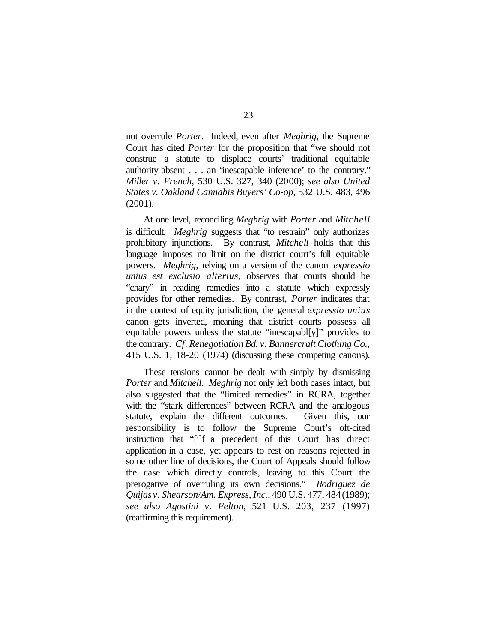not overrule *Porter*. Indeed, even after *Meghrig*, the Supreme Court has cited *Porter* for the proposition that "we should not construe a statute to displace courts' traditional equitable authority absent . . . an 'inescapable inference' to the contrary." *Miller v. French*, 530 U.S. 327, 340 (2000); *see also United States v. Oakland Cannabis Buyers' Co-op*, 532 U.S. 483, 496 (2001).

At one level, reconciling *Meghrig* with *Porter* and *Mitchell* is difficult. *Meghrig* suggests that "to restrain" only authorizes prohibitory injunctions. By contrast, *Mitchell* holds that this language imposes no limit on the district court's full equitable powers. *Meghrig*, relying on a version of the canon *expressio unius est exclusio alterius,* observes that courts should be "chary" in reading remedies into a statute which expressly provides for other remedies. By contrast, *Porter* indicates that in the context of equity jurisdiction, the general *expressio unius* canon gets inverted, meaning that district courts possess all equitable powers unless the statute "inescapabl[y]" provides to the contrary. *Cf. Renegotiation Bd. v. Bannercraft Clothing Co.*, 415 U.S. 1, 18-20 (1974) (discussing these competing canons).

These tensions cannot be dealt with simply by dismissing *Porter* and *Mitchell*. *Meghrig* not only left both cases intact, but also suggested that the "limited remedies" in RCRA, together with the "stark differences" between RCRA and the analogous statute, explain the different outcomes. Given this, our responsibility is to follow the Supreme Court's oft-cited instruction that "[i]f a precedent of this Court has direct application in a case, yet appears to rest on reasons rejected in some other line of decisions, the Court of Appeals should follow the case which directly controls, leaving to this Court the prerogative of overruling its own decisions." *Rodriguez de Quijas v. Shearson/Am. Express, Inc.*, 490 U.S. 477, 484(1989); *see also Agostini v. Felton*, 521 U.S. 203, 237 (1997) (reaffirming this requirement).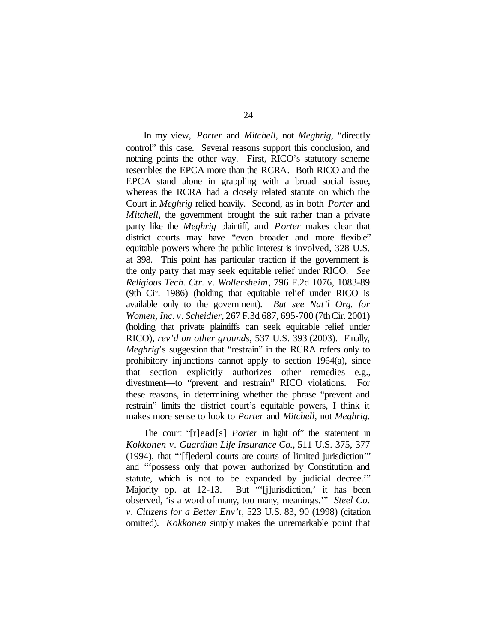In my view, *Porter* and *Mitchell*, not *Meghrig*, "directly control" this case. Several reasons support this conclusion, and nothing points the other way. First, RICO's statutory scheme resembles the EPCA more than the RCRA. Both RICO and the EPCA stand alone in grappling with a broad social issue, whereas the RCRA had a closely related statute on which the Court in *Meghrig* relied heavily. Second, as in both *Porter* and *Mitchell*, the government brought the suit rather than a private party like the *Meghrig* plaintiff, and *Porter* makes clear that district courts may have "even broader and more flexible" equitable powers where the public interest is involved, 328 U.S. at 398. This point has particular traction if the government is the only party that may seek equitable relief under RICO. *See Religious Tech. Ctr. v. Wollersheim*, 796 F.2d 1076, 1083-89 (9th Cir. 1986) (holding that equitable relief under RICO is available only to the government). *But see Nat'l Org. for Women, Inc. v. Scheidler,* 267 F.3d 687, 695-700 (7thCir. 2001) (holding that private plaintiffs can seek equitable relief under RICO), *rev'd on other grounds*, 537 U.S. 393 (2003). Finally, *Meghrig*'s suggestion that "restrain" in the RCRA refers only to prohibitory injunctions cannot apply to section 1964(a), since that section explicitly authorizes other remedies—e.g., divestment—to "prevent and restrain" RICO violations. For these reasons, in determining whether the phrase "prevent and restrain" limits the district court's equitable powers, I think it makes more sense to look to *Porter* and *Mitchell*, not *Meghrig*.

The court "[r]ead[s] *Porter* in light of" the statement in *Kokkonen v. Guardian Life Insurance Co.*, 511 U.S. 375, 377 (1994), that "'[f]ederal courts are courts of limited jurisdiction'" and "'possess only that power authorized by Constitution and statute, which is not to be expanded by judicial decree.'" Majority op. at 12-13. But "'[j]urisdiction,' it has been observed, 'is a word of many, too many, meanings.'" *Steel Co. v. Citizens for a Better Env't*, 523 U.S. 83, 90 (1998) (citation omitted). *Kokkonen* simply makes the unremarkable point that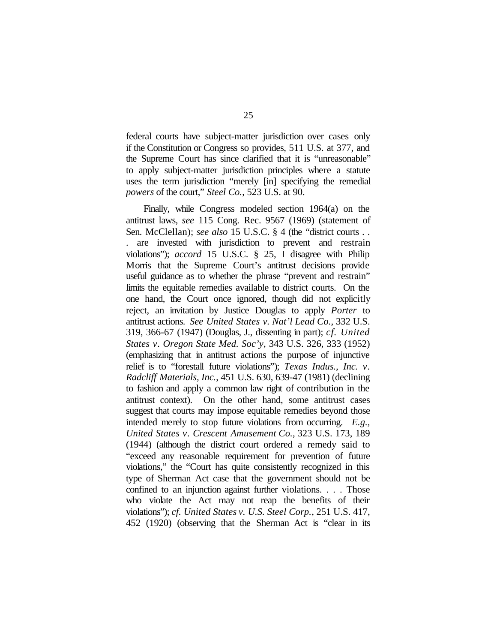federal courts have subject-matter jurisdiction over cases only if the Constitution or Congress so provides, 511 U.S. at 377, and the Supreme Court has since clarified that it is "unreasonable" to apply subject-matter jurisdiction principles where a statute uses the term jurisdiction "merely [in] specifying the remedial *powers* of the court," *Steel Co.*, 523 U.S. at 90.

Finally, while Congress modeled section 1964(a) on the antitrust laws, *see* 115 Cong. Rec. 9567 (1969) (statement of Sen. McClellan); *see also* 15 U.S.C. § 4 (the "district courts . . . are invested with jurisdiction to prevent and restrain violations"); *accord* 15 U.S.C. § 25, I disagree with Philip Morris that the Supreme Court's antitrust decisions provide useful guidance as to whether the phrase "prevent and restrain" limits the equitable remedies available to district courts. On the one hand, the Court once ignored, though did not explicitly reject, an invitation by Justice Douglas to apply *Porter* to antitrust actions. *See United States v. Nat'l Lead Co.*, 332 U.S. 319, 366-67 (1947) (Douglas, J., dissenting in part); *cf. United States v. Oregon State Med. Soc'y*, 343 U.S. 326, 333 (1952) (emphasizing that in antitrust actions the purpose of injunctive relief is to "forestall future violations"); *Texas Indus., Inc. v. Radcliff Materials, Inc.*, 451 U.S. 630, 639-47 (1981) (declining to fashion and apply a common law right of contribution in the antitrust context). On the other hand, some antitrust cases suggest that courts may impose equitable remedies beyond those intended merely to stop future violations from occurring. *E.g., United States v. Crescent Amusement Co.*, 323 U.S. 173, 189 (1944) (although the district court ordered a remedy said to "exceed any reasonable requirement for prevention of future violations," the "Court has quite consistently recognized in this type of Sherman Act case that the government should not be confined to an injunction against further violations. . . . Those who violate the Act may not reap the benefits of their violations"); *cf. United States v. U.S. Steel Corp.*, 251 U.S. 417, 452 (1920) (observing that the Sherman Act is "clear in its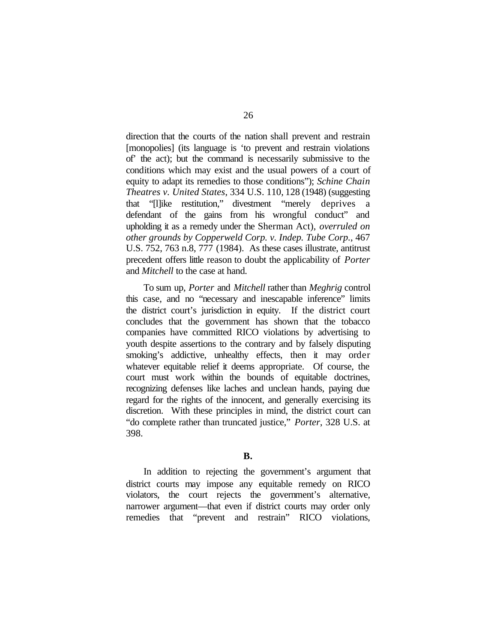direction that the courts of the nation shall prevent and restrain [monopolies] (its language is 'to prevent and restrain violations of' the act); but the command is necessarily submissive to the conditions which may exist and the usual powers of a court of equity to adapt its remedies to those conditions"); *Schine Chain Theatres v. United States*, 334 U.S. 110, 128 (1948) (suggesting that "[l]ike restitution," divestment "merely deprives a defendant of the gains from his wrongful conduct" and upholding it as a remedy under the Sherman Act), *overruled on other grounds by Copperweld Corp. v. Indep. Tube Corp.*, 467 U.S. 752, 763 n.8, 777 (1984). As these cases illustrate, antitrust precedent offers little reason to doubt the applicability of *Porter* and *Mitchell* to the case at hand.

To sum up, *Porter* and *Mitchell* rather than *Meghrig* control this case, and no "necessary and inescapable inference" limits the district court's jurisdiction in equity. If the district court concludes that the government has shown that the tobacco companies have committed RICO violations by advertising to youth despite assertions to the contrary and by falsely disputing smoking's addictive, unhealthy effects, then it may order whatever equitable relief it deems appropriate. Of course, the court must work within the bounds of equitable doctrines, recognizing defenses like laches and unclean hands, paying due regard for the rights of the innocent, and generally exercising its discretion. With these principles in mind, the district court can "do complete rather than truncated justice," *Porter*, 328 U.S. at 398.

**B.**

In addition to rejecting the government's argument that district courts may impose any equitable remedy on RICO violators, the court rejects the government's alternative, narrower argument—that even if district courts may order only remedies that "prevent and restrain" RICO violations,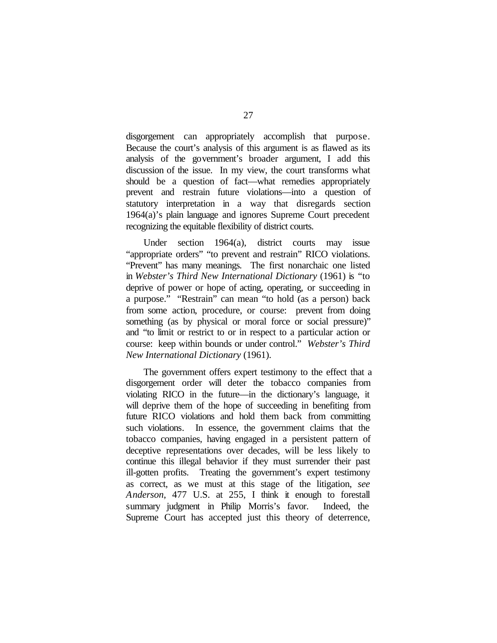disgorgement can appropriately accomplish that purpose. Because the court's analysis of this argument is as flawed as its analysis of the government's broader argument, I add this discussion of the issue. In my view, the court transforms what should be a question of fact—what remedies appropriately prevent and restrain future violations—into a question of statutory interpretation in a way that disregards section 1964(a)'s plain language and ignores Supreme Court precedent recognizing the equitable flexibility of district courts.

Under section 1964(a), district courts may issue "appropriate orders" "to prevent and restrain" RICO violations. "Prevent" has many meanings. The first nonarchaic one listed in *Webster's Third New International Dictionary* (1961) is "to deprive of power or hope of acting, operating, or succeeding in a purpose." "Restrain" can mean "to hold (as a person) back from some action, procedure, or course: prevent from doing something (as by physical or moral force or social pressure)" and "to limit or restrict to or in respect to a particular action or course: keep within bounds or under control." *Webster's Third New International Dictionary* (1961).

The government offers expert testimony to the effect that a disgorgement order will deter the tobacco companies from violating RICO in the future—in the dictionary's language, it will deprive them of the hope of succeeding in benefiting from future RICO violations and hold them back from committing such violations. In essence, the government claims that the tobacco companies, having engaged in a persistent pattern of deceptive representations over decades, will be less likely to continue this illegal behavior if they must surrender their past ill-gotten profits. Treating the government's expert testimony as correct, as we must at this stage of the litigation, *see Anderson*, 477 U.S. at 255, I think it enough to forestall summary judgment in Philip Morris's favor. Indeed, the Supreme Court has accepted just this theory of deterrence,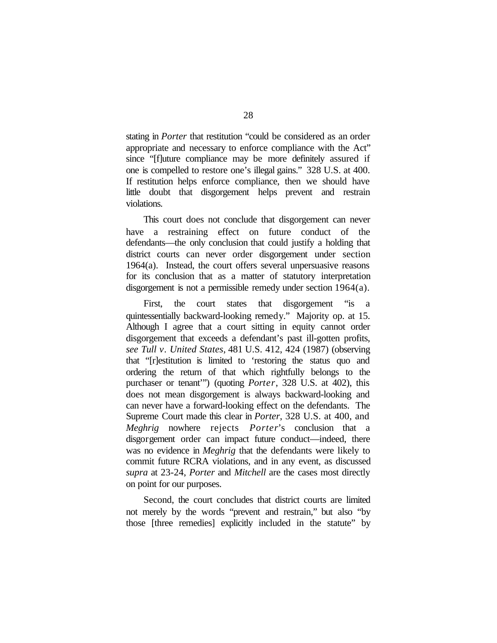stating in *Porter* that restitution "could be considered as an order appropriate and necessary to enforce compliance with the Act" since "[f]uture compliance may be more definitely assured if one is compelled to restore one's illegal gains." 328 U.S. at 400. If restitution helps enforce compliance, then we should have little doubt that disgorgement helps prevent and restrain violations.

This court does not conclude that disgorgement can never have a restraining effect on future conduct of the defendants—the only conclusion that could justify a holding that district courts can never order disgorgement under section 1964(a). Instead, the court offers several unpersuasive reasons for its conclusion that as a matter of statutory interpretation disgorgement is not a permissible remedy under section 1964(a).

First, the court states that disgorgement "is a quintessentially backward-looking remedy." Majority op. at 15. Although I agree that a court sitting in equity cannot order disgorgement that exceeds a defendant's past ill-gotten profits, *see Tull v. United States*, 481 U.S. 412, 424 (1987) (observing that "[r]estitution is limited to 'restoring the status quo and ordering the return of that which rightfully belongs to the purchaser or tenant'") (quoting *Porter*, 328 U.S. at 402), this does not mean disgorgement is always backward-looking and can never have a forward-looking effect on the defendants. The Supreme Court made this clear in *Porter*, 328 U.S. at 400, and *Meghrig* nowhere rejects *Porter*'s conclusion that a disgorgement order can impact future conduct—indeed, there was no evidence in *Meghrig* that the defendants were likely to commit future RCRA violations, and in any event, as discussed *supra* at 23-24, *Porter* and *Mitchell* are the cases most directly on point for our purposes.

Second, the court concludes that district courts are limited not merely by the words "prevent and restrain," but also "by those [three remedies] explicitly included in the statute" by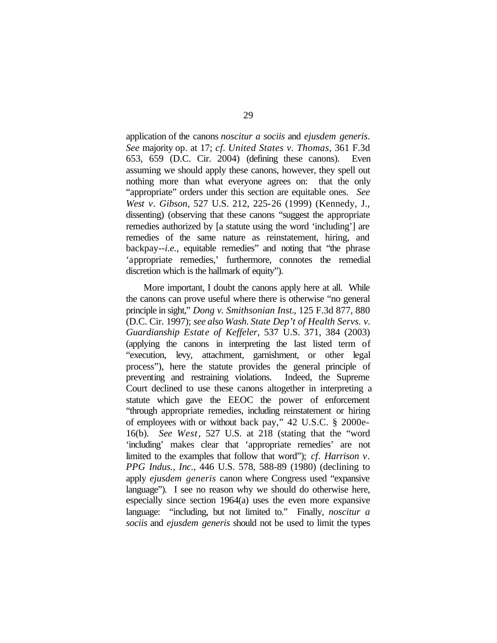application of the canons *noscitur a sociis* and *ejusdem generis*. *See* majority op. at 17; *cf. United States v. Thomas*, 361 F.3d 653, 659 (D.C. Cir. 2004) (defining these canons). Even assuming we should apply these canons, however, they spell out nothing more than what everyone agrees on: that the only "appropriate" orders under this section are equitable ones. *See West v. Gibson*, 527 U.S. 212, 225-26 (1999) (Kennedy, J., dissenting) (observing that these canons "suggest the appropriate remedies authorized by [a statute using the word 'including'] are remedies of the same nature as reinstatement, hiring, and backpay--*i.e.,* equitable remedies" and noting that "the phrase 'appropriate remedies,' furthermore, connotes the remedial discretion which is the hallmark of equity").

More important, I doubt the canons apply here at all. While the canons can prove useful where there is otherwise "no general principle in sight," *Dong v. Smithsonian Inst.*, 125 F.3d 877, 880 (D.C. Cir. 1997); *see also Wash. State Dep't of Health Servs. v. Guardianship Estate of Keffeler*, 537 U.S. 371, 384 (2003) (applying the canons in interpreting the last listed term of "execution, levy, attachment, garnishment, or other legal process"), here the statute provides the general principle of preventing and restraining violations. Indeed, the Supreme Court declined to use these canons altogether in interpreting a statute which gave the EEOC the power of enforcement "through appropriate remedies, including reinstatement or hiring of employees with or without back pay," 42 U.S.C. § 2000e-16(b). *See West*, 527 U.S. at 218 (stating that the "word 'including' makes clear that 'appropriate remedies' are not limited to the examples that follow that word"); *cf. Harrison v. PPG Indus., Inc.*, 446 U.S. 578, 588-89 (1980) (declining to apply *ejusdem generis* canon where Congress used "expansive language"). I see no reason why we should do otherwise here, especially since section 1964(a) uses the even more expansive language: "including, but not limited to." Finally, *noscitur a sociis* and *ejusdem generis* should not be used to limit the types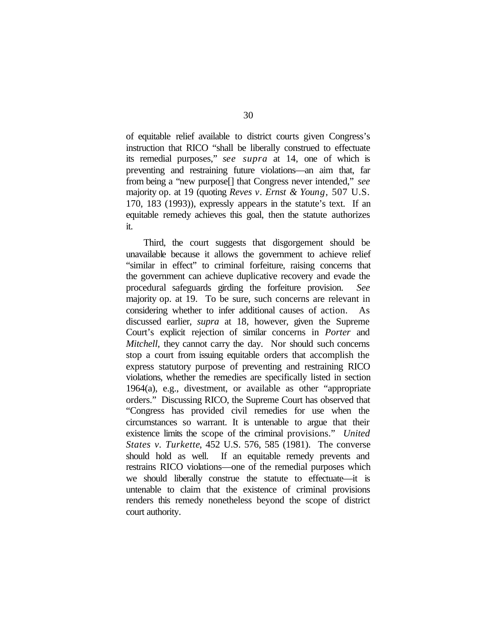of equitable relief available to district courts given Congress's instruction that RICO "shall be liberally construed to effectuate its remedial purposes," *see supra* at 14, one of which is preventing and restraining future violations—an aim that, far from being a "new purpose[] that Congress never intended," *see* majority op. at 19 (quoting *Reves v. Ernst & Young*, 507 U.S. 170, 183 (1993)), expressly appears in the statute's text. If an equitable remedy achieves this goal, then the statute authorizes it.

Third, the court suggests that disgorgement should be unavailable because it allows the government to achieve relief "similar in effect" to criminal forfeiture, raising concerns that the government can achieve duplicative recovery and evade the procedural safeguards girding the forfeiture provision. *See* majority op. at 19. To be sure, such concerns are relevant in considering whether to infer additional causes of action. As discussed earlier, *supra* at 18, however, given the Supreme Court's explicit rejection of similar concerns in *Porter* and *Mitchell*, they cannot carry the day. Nor should such concerns stop a court from issuing equitable orders that accomplish the express statutory purpose of preventing and restraining RICO violations, whether the remedies are specifically listed in section 1964(a), e.g., divestment, or available as other "appropriate orders." Discussing RICO, the Supreme Court has observed that "Congress has provided civil remedies for use when the circumstances so warrant. It is untenable to argue that their existence limits the scope of the criminal provisions." *United States v. Turkette*, 452 U.S. 576, 585 (1981). The converse should hold as well. If an equitable remedy prevents and restrains RICO violations—one of the remedial purposes which we should liberally construe the statute to effectuate—it is untenable to claim that the existence of criminal provisions renders this remedy nonetheless beyond the scope of district court authority.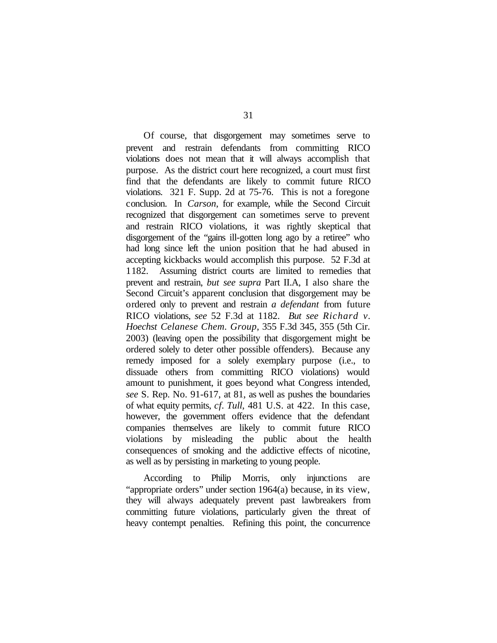Of course, that disgorgement may sometimes serve to prevent and restrain defendants from committing RICO violations does not mean that it will always accomplish that purpose. As the district court here recognized, a court must first find that the defendants are likely to commit future RICO violations. 321 F. Supp. 2d at 75-76. This is not a foregone conclusion. In *Carson*, for example, while the Second Circuit recognized that disgorgement can sometimes serve to prevent and restrain RICO violations, it was rightly skeptical that disgorgement of the "gains ill-gotten long ago by a retiree" who had long since left the union position that he had abused in accepting kickbacks would accomplish this purpose. 52 F.3d at 1182. Assuming district courts are limited to remedies that prevent and restrain, *but see supra* Part II.A, I also share the Second Circuit's apparent conclusion that disgorgement may be ordered only to prevent and restrain *a defendant* from future RICO violations, *see* 52 F.3d at 1182. *But see Richard v. Hoechst Celanese Chem. Group*, 355 F.3d 345, 355 (5th Cir. 2003) (leaving open the possibility that disgorgement might be ordered solely to deter other possible offenders). Because any remedy imposed for a solely exemplary purpose (i.e., to dissuade others from committing RICO violations) would amount to punishment, it goes beyond what Congress intended, *see* S. Rep. No. 91-617, at 81, as well as pushes the boundaries of what equity permits, *cf. Tull*, 481 U.S. at 422. In this case, however, the government offers evidence that the defendant companies themselves are likely to commit future RICO violations by misleading the public about the health consequences of smoking and the addictive effects of nicotine, as well as by persisting in marketing to young people.

According to Philip Morris, only injunctions are "appropriate orders" under section 1964(a) because, in its view, they will always adequately prevent past lawbreakers from committing future violations, particularly given the threat of heavy contempt penalties. Refining this point, the concurrence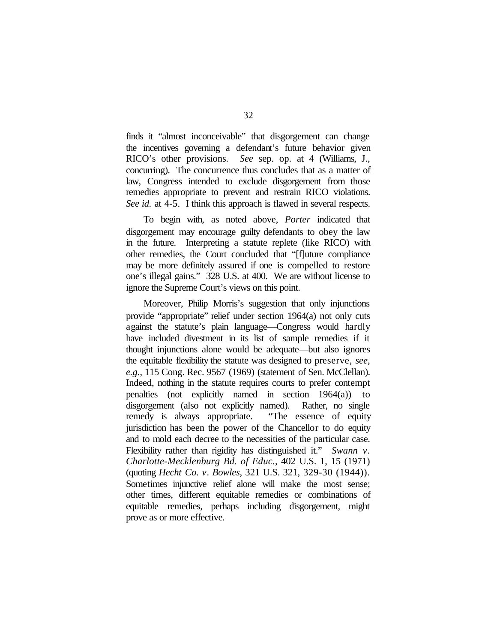finds it "almost inconceivable" that disgorgement can change the incentives governing a defendant's future behavior given RICO's other provisions. *See* sep. op. at 4 (Williams, J., concurring). The concurrence thus concludes that as a matter of law, Congress intended to exclude disgorgement from those remedies appropriate to prevent and restrain RICO violations. *See id.* at 4-5. I think this approach is flawed in several respects.

To begin with, as noted above, *Porter* indicated that disgorgement may encourage guilty defendants to obey the law in the future. Interpreting a statute replete (like RICO) with other remedies, the Court concluded that "[f]uture compliance may be more definitely assured if one is compelled to restore one's illegal gains." 328 U.S. at 400. We are without license to ignore the Supreme Court's views on this point.

Moreover, Philip Morris's suggestion that only injunctions provide "appropriate" relief under section 1964(a) not only cuts against the statute's plain language—Congress would hardly have included divestment in its list of sample remedies if it thought injunctions alone would be adequate—but also ignores the equitable flexibility the statute was designed to preserve, *see, e.g.*, 115 Cong. Rec. 9567 (1969) (statement of Sen. McClellan). Indeed, nothing in the statute requires courts to prefer contempt penalties (not explicitly named in section 1964(a)) to disgorgement (also not explicitly named). Rather, no single remedy is always appropriate. "The essence of equity jurisdiction has been the power of the Chancellor to do equity and to mold each decree to the necessities of the particular case. Flexibility rather than rigidity has distinguished it." *Swann v. Charlotte-Mecklenburg Bd. of Educ.*, 402 U.S. 1, 15 (1971) (quoting *Hecht Co. v. Bowles*, 321 U.S. 321, 329-30 (1944)). Sometimes injunctive relief alone will make the most sense; other times, different equitable remedies or combinations of equitable remedies, perhaps including disgorgement, might prove as or more effective.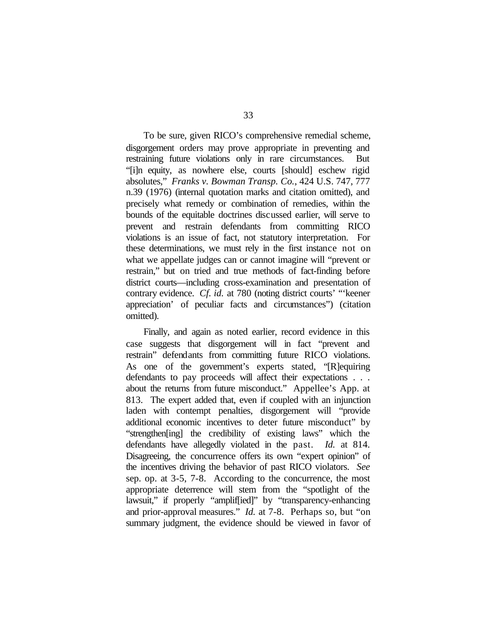To be sure, given RICO's comprehensive remedial scheme, disgorgement orders may prove appropriate in preventing and restraining future violations only in rare circumstances. But "[i]n equity, as nowhere else, courts [should] eschew rigid absolutes," *Franks v. Bowman Transp. Co.*, 424 U.S. 747, 777 n.39 (1976) (internal quotation marks and citation omitted), and precisely what remedy or combination of remedies, within the bounds of the equitable doctrines discussed earlier, will serve to prevent and restrain defendants from committing RICO violations is an issue of fact, not statutory interpretation. For these determinations, we must rely in the first instance not on what we appellate judges can or cannot imagine will "prevent or restrain," but on tried and true methods of fact-finding before district courts—including cross-examination and presentation of contrary evidence. *Cf. id.* at 780 (noting district courts' "'keener appreciation' of peculiar facts and circumstances") (citation omitted).

Finally, and again as noted earlier, record evidence in this case suggests that disgorgement will in fact "prevent and restrain" defendants from committing future RICO violations. As one of the government's experts stated, "[R]equiring defendants to pay proceeds will affect their expectations . . . about the returns from future misconduct." Appellee's App. at 813. The expert added that, even if coupled with an injunction laden with contempt penalties, disgorgement will "provide additional economic incentives to deter future misconduct" by "strengthen[ing] the credibility of existing laws" which the defendants have allegedly violated in the past. *Id.* at 814. Disagreeing, the concurrence offers its own "expert opinion" of the incentives driving the behavior of past RICO violators. *See* sep. op. at 3-5, 7-8. According to the concurrence, the most appropriate deterrence will stem from the "spotlight of the lawsuit," if properly "amplif[ied]" by "transparency-enhancing and prior-approval measures." *Id.* at 7-8. Perhaps so, but "on summary judgment, the evidence should be viewed in favor of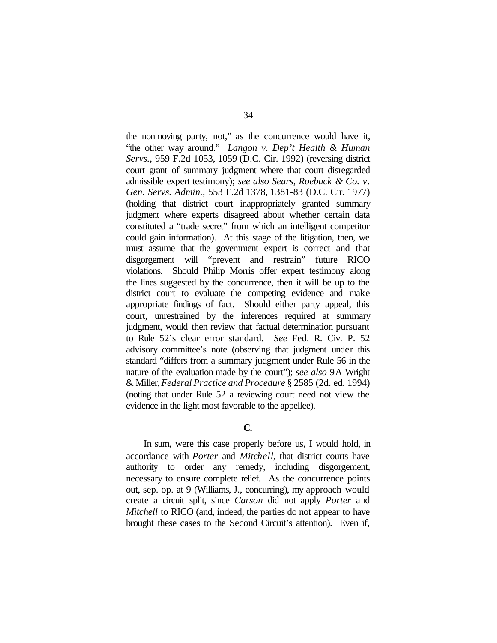the nonmoving party, not," as the concurrence would have it, "the other way around." *Langon v. Dep't Health & Human Servs.*, 959 F.2d 1053, 1059 (D.C. Cir. 1992) (reversing district court grant of summary judgment where that court disregarded admissible expert testimony); *see also Sears, Roebuck & Co. v. Gen. Servs. Admin.*, 553 F.2d 1378, 1381-83 (D.C. Cir. 1977) (holding that district court inappropriately granted summary judgment where experts disagreed about whether certain data constituted a "trade secret" from which an intelligent competitor could gain information). At this stage of the litigation, then, we must assume that the government expert is correct and that disgorgement will "prevent and restrain" future RICO violations. Should Philip Morris offer expert testimony along the lines suggested by the concurrence, then it will be up to the district court to evaluate the competing evidence and make appropriate findings of fact. Should either party appeal, this court, unrestrained by the inferences required at summary judgment, would then review that factual determination pursuant to Rule 52's clear error standard. *See* Fed. R. Civ. P. 52 advisory committee's note (observing that judgment under this standard "differs from a summary judgment under Rule 56 in the nature of the evaluation made by the court"); *see also* 9A Wright & Miller,*Federal Practice and Procedure* § 2585 (2d. ed. 1994) (noting that under Rule 52 a reviewing court need not view the evidence in the light most favorable to the appellee).

# **C.**

In sum, were this case properly before us, I would hold, in accordance with *Porter* and *Mitchell*, that district courts have authority to order any remedy, including disgorgement, necessary to ensure complete relief. As the concurrence points out, sep. op. at 9 (Williams, J., concurring), my approach would create a circuit split, since *Carson* did not apply *Porter* and *Mitchell* to RICO (and, indeed, the parties do not appear to have brought these cases to the Second Circuit's attention). Even if,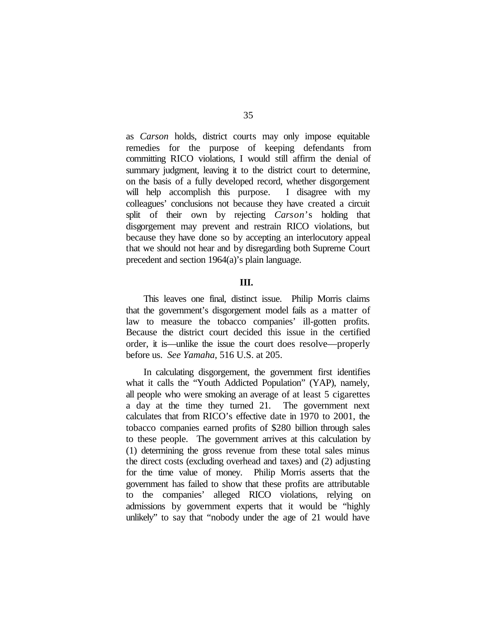as *Carson* holds, district courts may only impose equitable remedies for the purpose of keeping defendants from committing RICO violations, I would still affirm the denial of summary judgment, leaving it to the district court to determine, on the basis of a fully developed record, whether disgorgement will help accomplish this purpose. I disagree with my colleagues' conclusions not because they have created a circuit split of their own by rejecting *Carson*'s holding that disgorgement may prevent and restrain RICO violations, but because they have done so by accepting an interlocutory appeal that we should not hear and by disregarding both Supreme Court precedent and section 1964(a)'s plain language.

## **III.**

This leaves one final, distinct issue. Philip Morris claims that the government's disgorgement model fails as a matter of law to measure the tobacco companies' ill-gotten profits. Because the district court decided this issue in the certified order, it is—unlike the issue the court does resolve—properly before us. *See Yamaha*, 516 U.S. at 205.

In calculating disgorgement, the government first identifies what it calls the "Youth Addicted Population" (YAP), namely, all people who were smoking an average of at least 5 cigarettes a day at the time they turned 21. The government next calculates that from RICO's effective date in 1970 to 2001, the tobacco companies earned profits of \$280 billion through sales to these people. The government arrives at this calculation by (1) determining the gross revenue from these total sales minus the direct costs (excluding overhead and taxes) and (2) adjusting for the time value of money. Philip Morris asserts that the government has failed to show that these profits are attributable to the companies' alleged RICO violations, relying on admissions by government experts that it would be "highly unlikely" to say that "nobody under the age of 21 would have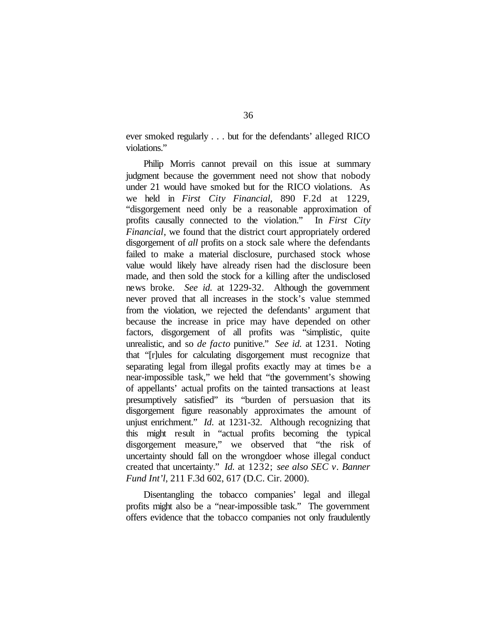ever smoked regularly . . . but for the defendants' alleged RICO violations."

Philip Morris cannot prevail on this issue at summary judgment because the government need not show that nobody under 21 would have smoked but for the RICO violations. As we held in *First City Financial*, 890 F.2d at 1229, "disgorgement need only be a reasonable approximation of profits causally connected to the violation." In *First City Financial*, we found that the district court appropriately ordered disgorgement of *all* profits on a stock sale where the defendants failed to make a material disclosure, purchased stock whose value would likely have already risen had the disclosure been made, and then sold the stock for a killing after the undisclosed news broke. *See id.* at 1229-32.Although the government never proved that all increases in the stock's value stemmed from the violation, we rejected the defendants' argument that because the increase in price may have depended on other factors, disgorgement of all profits was "simplistic, quite unrealistic, and so *de facto* punitive." *See id.* at 1231. Noting that "[r]ules for calculating disgorgement must recognize that separating legal from illegal profits exactly may at times be a near-impossible task," we held that "the government's showing of appellants' actual profits on the tainted transactions at least presumptively satisfied" its "burden of persuasion that its disgorgement figure reasonably approximates the amount of unjust enrichment." *Id.* at 1231-32. Although recognizing that this might result in "actual profits becoming the typical disgorgement measure," we observed that "the risk of uncertainty should fall on the wrongdoer whose illegal conduct created that uncertainty." *Id.* at 1232; *see also SEC v. Banner Fund Int'l*, 211 F.3d 602, 617 (D.C. Cir. 2000).

Disentangling the tobacco companies' legal and illegal profits might also be a "near-impossible task." The government offers evidence that the tobacco companies not only fraudulently